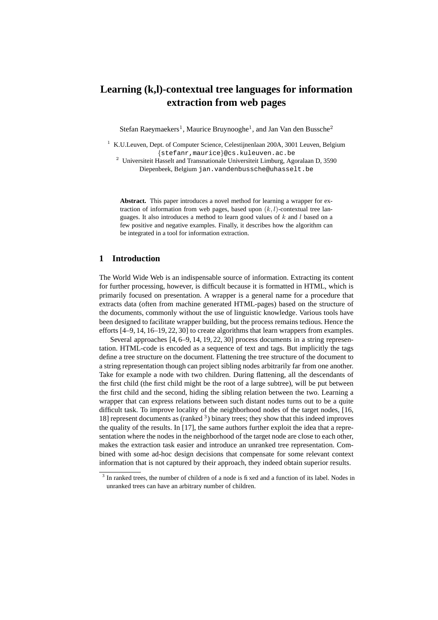# **Learning (k,l)-contextual tree languages for information extraction from web pages**

Stefan Raeymaekers<sup>1</sup>, Maurice Bruynooghe<sup>1</sup>, and Jan Van den Bussche<sup>2</sup>

- $1 K.U.Le$ uven, Dept. of Computer Science, Celestijnenlaan 200A, 3001 Leuven, Belgium {stefanr,maurice}@cs.kuleuven.ac.be
	- <sup>2</sup> Universiteit Hasselt and Transnationale Universiteit Limburg, Agoralaan D, 3590 Diepenbeek, Belgium jan.vandenbussche@uhasselt.be

**Abstract.** This paper introduces a novel method for learning a wrapper for extraction of information from web pages, based upon  $(k, l)$ -contextual tree languages. It also introduces a method to learn good values of k and l based on a few positive and negative examples. Finally, it describes how the algorithm can be integrated in a tool for information extraction.

## **1 Introduction**

The World Wide Web is an indispensable source of information. Extracting its content for further processing, however, is difficult because it is formatted in HTML, which is primarily focused on presentation. A wrapper is a general name for a procedure that extracts data (often from machine generated HTML-pages) based on the structure of the documents, commonly without the use of linguistic knowledge. Various tools have been designed to facilitate wrapper building, but the process remains tedious. Hence the efforts [4–9, 14, 16–19, 22, 30] to create algorithms that learn wrappers from examples.

Several approaches [4, 6–9, 14, 19, 22, 30] process documents in a string representation. HTML-code is encoded as a sequence of text and tags. But implicitly the tags define a tree structure on the document. Flattening the tree structure of the document to a string representation though can project sibling nodes arbitrarily far from one another. Take for example a node with two children. During flattening, all the descendants of the first child (the first child might be the root of a large subtree), will be put between the first child and the second, hiding the sibling relation between the two. Learning a wrapper that can express relations between such distant nodes turns out to be a quite difficult task. To improve locality of the neighborhood nodes of the target nodes, [16, 18] represent documents as (ranked  $3$ ) binary trees; they show that this indeed improves the quality of the results. In [17], the same authors further exploit the idea that a representation where the nodes in the neighborhood of the target node are close to each other, makes the extraction task easier and introduce an unranked tree representation. Combined with some ad-hoc design decisions that compensate for some relevant context information that is not captured by their approach, they indeed obtain superior results.

<sup>&</sup>lt;sup>3</sup> In ranked trees, the number of children of a node is fixed and a function of its label. Nodes in unranked trees can have an arbitrary number of children.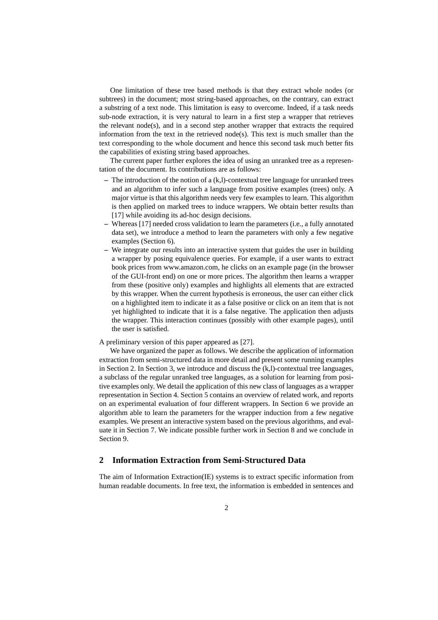One limitation of these tree based methods is that they extract whole nodes (or subtrees) in the document; most string-based approaches, on the contrary, can extract a substring of a text node. This limitation is easy to overcome. Indeed, if a task needs sub-node extraction, it is very natural to learn in a first step a wrapper that retrieves the relevant node(s), and in a second step another wrapper that extracts the required information from the text in the retrieved node(s). This text is much smaller than the text corresponding to the whole document and hence this second task much better fits the capabilities of existing string based approaches.

The current paper further explores the idea of using an unranked tree as a representation of the document. Its contributions are as follows:

- **–** The introduction of the notion of a (k,l)-contextual tree language for unranked trees and an algorithm to infer such a language from positive examples (trees) only. A major virtue is that this algorithm needs very few examples to learn. This algorithm is then applied on marked trees to induce wrappers. We obtain better results than [17] while avoiding its ad-hoc design decisions.
- **–** Whereas [17] needed cross validation to learn the parameters (i.e., a fully annotated data set), we introduce a method to learn the parameters with only a few negative examples (Section 6).
- **–** We integrate our results into an interactive system that guides the user in building a wrapper by posing equivalence queries. For example, if a user wants to extract book prices from www.amazon.com, he clicks on an example page (in the browser of the GUI-front end) on one or more prices. The algorithm then learns a wrapper from these (positive only) examples and highlights all elements that are extracted by this wrapper. When the current hypothesis is erroneous, the user can either click on a highlighted item to indicate it as a false positive or click on an item that is not yet highlighted to indicate that it is a false negative. The application then adjusts the wrapper. This interaction continues (possibly with other example pages), until the user is satisfied.

A preliminary version of this paper appeared as [27].

We have organized the paper as follows. We describe the application of information extraction from semi-structured data in more detail and present some running examples in Section 2. In Section 3, we introduce and discuss the (k,l)-contextual tree languages, a subclass of the regular unranked tree languages, as a solution for learning from positive examples only. We detail the application of this new class of languages as a wrapper representation in Section 4. Section 5 contains an overview of related work, and reports on an experimental evaluation of four different wrappers. In Section 6 we provide an algorithm able to learn the parameters for the wrapper induction from a few negative examples. We present an interactive system based on the previous algorithms, and evaluate it in Section 7. We indicate possible further work in Section 8 and we conclude in Section 9.

# **2 Information Extraction from Semi-Structured Data**

The aim of Information Extraction(IE) systems is to extract specific information from human readable documents. In free text, the information is embedded in sentences and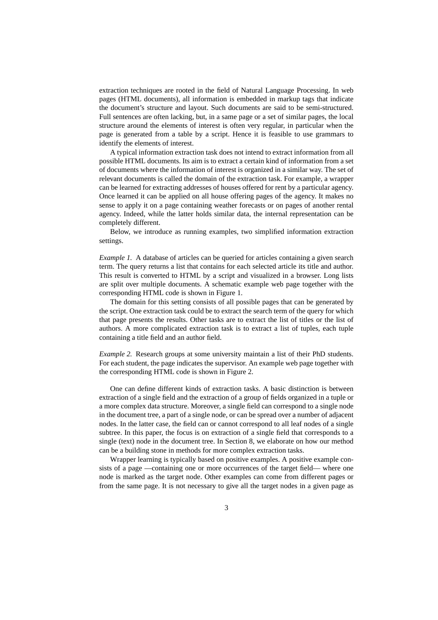extraction techniques are rooted in the field of Natural Language Processing. In web pages (HTML documents), all information is embedded in markup tags that indicate the document's structure and layout. Such documents are said to be semi-structured. Full sentences are often lacking, but, in a same page or a set of similar pages, the local structure around the elements of interest is often very regular, in particular when the page is generated from a table by a script. Hence it is feasible to use grammars to identify the elements of interest.

A typical information extraction task does not intend to extract information from all possible HTML documents. Its aim is to extract a certain kind of information from a set of documents where the information of interest is organized in a similar way. The set of relevant documents is called the domain of the extraction task. For example, a wrapper can be learned for extracting addresses of houses offered for rent by a particular agency. Once learned it can be applied on all house offering pages of the agency. It makes no sense to apply it on a page containing weather forecasts or on pages of another rental agency. Indeed, while the latter holds similar data, the internal representation can be completely different.

Below, we introduce as running examples, two simplified information extraction settings.

*Example 1.* A database of articles can be queried for articles containing a given search term. The query returns a list that contains for each selected article its title and author. This result is converted to HTML by a script and visualized in a browser. Long lists are split over multiple documents. A schematic example web page together with the corresponding HTML code is shown in Figure 1.

The domain for this setting consists of all possible pages that can be generated by the script. One extraction task could be to extract the search term of the query for which that page presents the results. Other tasks are to extract the list of titles or the list of authors. A more complicated extraction task is to extract a list of tuples, each tuple containing a title field and an author field.

*Example 2.* Research groups at some university maintain a list of their PhD students. For each student, the page indicates the supervisor. An example web page together with the corresponding HTML code is shown in Figure 2.

One can define different kinds of extraction tasks. A basic distinction is between extraction of a single field and the extraction of a group of fields organized in a tuple or a more complex data structure. Moreover, a single field can correspond to a single node in the document tree, a part of a single node, or can be spread over a number of adjacent nodes. In the latter case, the field can or cannot correspond to all leaf nodes of a single subtree. In this paper, the focus is on extraction of a single field that corresponds to a single (text) node in the document tree. In Section 8, we elaborate on how our method can be a building stone in methods for more complex extraction tasks.

Wrapper learning is typically based on positive examples. A positive example consists of a page —containing one or more occurrences of the target field— where one node is marked as the target node. Other examples can come from different pages or from the same page. It is not necessary to give all the target nodes in a given page as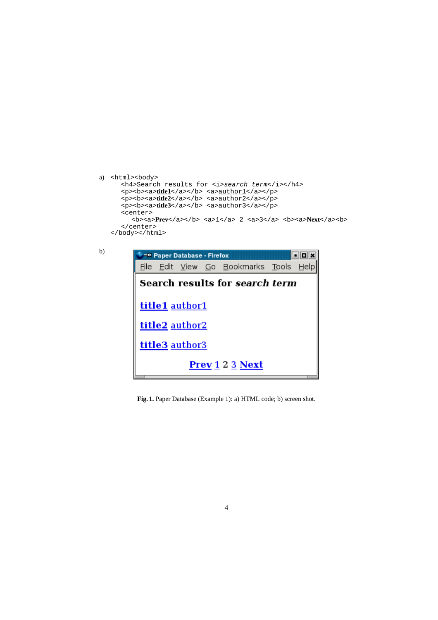```
a) <html><br/>body>
     <h4>Search results for <i>search term</i></h4>
     <p>>>>>><a>title1</a></b><a>author1</a></p>
      <p><bb><a>title2</a></b><a>author2</a></p>
      <p><bb><a>title3</a></b><a>author3</a></p>
      <center>
        <b><a>Prev</a></b> <a>1</a> 2 <a>3</a> <b><a>Next</a><b>
      </center>
   </body></html>
```

```
H-M Paper Database - Firefox
                                  oox
                                   Help
File Edit View Go Bookmarks Tools
Search results for search term
title1 author1
title2 author2
title3 author3
           Prev 1 2 3 Next
```
b)

**Fig. 1.** Paper Database (Example 1): a) HTML code; b) screen shot.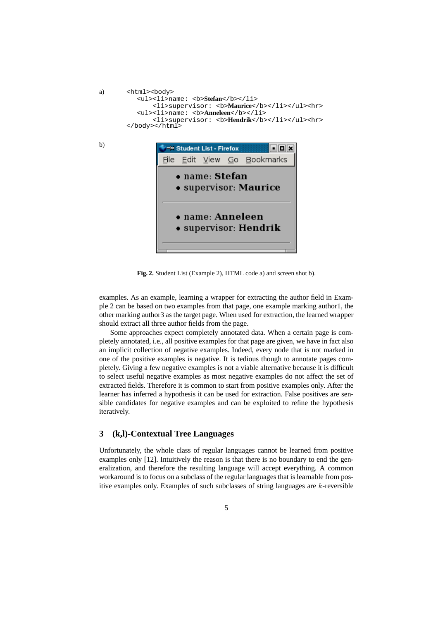```
a) \left\{ \text{thm1}\right\} < html > < hod v>
           <ul><li>name: <b>Stefan</b></li>
               <li>supervisor: <b>Maurice</b></li></ul><hr>
           <ul><li>name: <b>Anneleen</b></li>
               <li>supervisor: <b>Hendrik</b></li></ul><hr>
        </body></html>
b)
                   H Student List - Firefox
                                                 oloix
                  File
                       Edit View
                                     Go
                                          Bookmarks
                      \bullet name: Stefan
                      • supervisor: Maurice
                      \bullet name: Anneleen
                      \bullet supervisor: Hendrik
```
**Fig. 2.** Student List (Example 2), HTML code a) and screen shot b).

examples. As an example, learning a wrapper for extracting the author field in Example 2 can be based on two examples from that page, one example marking author1, the other marking author3 as the target page. When used for extraction, the learned wrapper should extract all three author fields from the page.

Some approaches expect completely annotated data. When a certain page is completely annotated, i.e., all positive examples for that page are given, we have in fact also an implicit collection of negative examples. Indeed, every node that is not marked in one of the positive examples is negative. It is tedious though to annotate pages completely. Giving a few negative examples is not a viable alternative because it is difficult to select useful negative examples as most negative examples do not affect the set of extracted fields. Therefore it is common to start from positive examples only. After the learner has inferred a hypothesis it can be used for extraction. False positives are sensible candidates for negative examples and can be exploited to refine the hypothesis iteratively.

# **3 (k,l)-Contextual Tree Languages**

Unfortunately, the whole class of regular languages cannot be learned from positive examples only [12]. Intuitively the reason is that there is no boundary to end the generalization, and therefore the resulting language will accept everything. A common workaround is to focus on a subclass of the regular languages that is learnable from positive examples only. Examples of such subclasses of string languages are k-reversible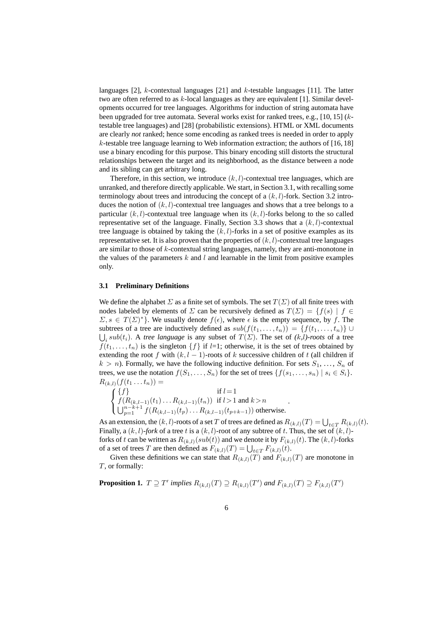languages  $[2]$ , k-contextual languages  $[21]$  and k-testable languages  $[11]$ . The latter two are often referred to as k-local languages as they are equivalent [1]. Similar developments occurred for tree languages. Algorithms for induction of string automata have been upgraded for tree automata. Several works exist for ranked trees, e.g., [10, 15] (ktestable tree languages) and [28] (probabilistic extensions). HTML or XML documents are clearly *not* ranked; hence some encoding as ranked trees is needed in order to apply  $k$ -testable tree language learning to Web information extraction; the authors of [16, 18] use a binary encoding for this purpose. This binary encoding still distorts the structural relationships between the target and its neighborhood, as the distance between a node and its sibling can get arbitrary long.

Therefore, in this section, we introduce  $(k, l)$ -contextual tree languages, which are unranked, and therefore directly applicable. We start, in Section 3.1, with recalling some terminology about trees and introducing the concept of a  $(k, l)$ -fork. Section 3.2 introduces the notion of  $(k, l)$ -contextual tree languages and shows that a tree belongs to a particular  $(k, l)$ -contextual tree language when its  $(k, l)$ -forks belong to the so called representative set of the language. Finally, Section 3.3 shows that a  $(k, l)$ -contextual tree language is obtained by taking the  $(k, l)$ -forks in a set of positive examples as its representative set. It is also proven that the properties of  $(k, l)$ -contextual tree languages are similar to those of  $k$ -contextual string languages, namely, they are anti-monotone in the values of the parameters  $k$  and  $l$  and learnable in the limit from positive examples only.

### **3.1 Preliminary Definitions**

We define the alphabet  $\Sigma$  as a finite set of symbols. The set  $T(\Sigma)$  of all finite trees with nodes labeled by elements of  $\Sigma$  can be recursively defined as  $T(\Sigma) = \{f(s) | f \in$  $\Sigma, s \in T(\Sigma)^*$ . We usually denote  $f(\epsilon)$ , where  $\epsilon$  is the empty sequence, by f. The subtrees of a tree are inductively defined as  $sub(f(t_1, \ldots, t_n)) = \{f(t_1, \ldots, t_n)\}$  $\bigcup_i \text{sub}(t_i)$ . A *tree language* is any subset of  $T(\Sigma)$ . The set of *(k,l)-roots* of a tree  $f(t_1, \ldots, t_n)$  is the singleton  $\{f\}$  if  $l=1$ ; otherwise, it is the set of trees obtained by extending the root f with  $(k, l - 1)$ -roots of k successive children of t (all children if  $k > n$ ). Formally, we have the following inductive definition. For sets  $S_1, \ldots, S_n$  of trees, we use the notation  $f(S_1, \ldots, S_n)$  for the set of trees  $\{f(s_1, \ldots, s_n) \mid s_i \in S_i\}.$  $R_{(k,l)}(f(t_1...t_n)) =$ 

$$
\begin{cases} \{f\} & \text{if } l=1\\ f(R_{(k,l-1)}(t_1)\dots R_{(k,l-1)}(t_n)) & \text{if } l>1 \text{ and } k>n\\ \bigcup_{p=1}^{n-k+1} f(R_{(k,l-1)}(t_p)\dots R_{(k,l-1)}(t_{p+k-1})) & \text{otherwise.} \end{cases}
$$

As an extension, the  $(k, l)$ -roots of a set  $T$  of trees are defined as  $R_{(k,l)}(T) = \bigcup_{t \in T} R_{(k,l)}(t)$ . Finally, a  $(k, l)$ -fork of a tree t is a  $(k, l)$ -root of any subtree of t. Thus, the set of  $(k, l)$ forks of t can be written as  $R_{(k,l)}(sub(t))$  and we denote it by  $F_{(k,l)}(t)$ . The  $(k,l)$ -forks of a set of trees T are then defined as  $F_{(k,l)}(T) = \bigcup_{t \in T} F_{(k,l)}(t)$ .

.

Given these definitions we can state that  $R_{(k,l)}(T)$  and  $F_{(k,l)}(T)$  are monotone in T, or formally:

**Proposition 1.**  $T \supseteq T'$  implies  $R_{(k,l)}(T) \supseteq R_{(k,l)}(T')$  and  $F_{(k,l)}(T) \supseteq F_{(k,l)}(T')$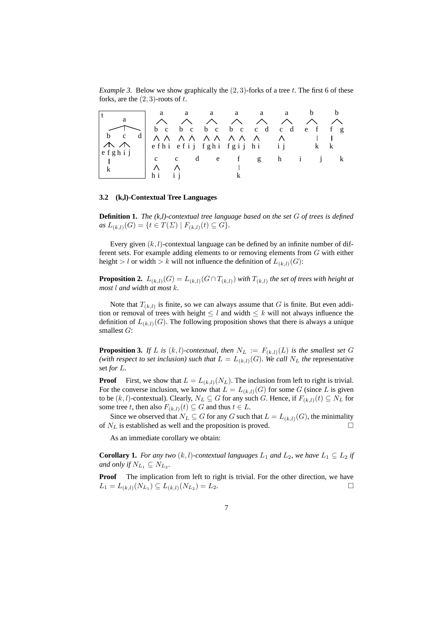*Example* 3. Below we show graphically the  $(2, 3)$ -forks of a tree t. The first 6 of these forks, are the  $(2, 3)$ -roots of t.

|                   | a a         | a a                       |                   | a a | $\mathbf{a}$   |  |   |
|-------------------|-------------|---------------------------|-------------------|-----|----------------|--|---|
|                   |             |                           | $\wedge$ $\wedge$ |     | $\wedge\wedge$ |  |   |
|                   |             | bc bc bc bc cd cd effg    |                   |     |                |  |   |
| d<br>$\mathbf{c}$ |             | AA AA AA AA A A           |                   |     |                |  |   |
| $\wedge \wedge$   |             | efhi efij fghi fgij hi ij |                   |     |                |  | k |
| efghij            |             |                           |                   |     |                |  |   |
|                   | $\mathbf c$ | $\mathbf{c}$<br>d         | e f g h i j       |     |                |  |   |
|                   |             |                           |                   |     |                |  |   |
|                   | hi          | ii                        |                   |     |                |  |   |

#### **3.2 (k,l)-Contextual Tree Languages**

**Definition 1.** *The (k,l)-contextual tree language based on the set* G *of trees is defined*  $as L_{(k,l)}(G) = \{t \in T(\Sigma) \mid F_{(k,l)}(t) \subseteq G\}.$ 

Every given  $(k, l)$ -contextual language can be defined by an infinite number of different sets. For example adding elements to or removing elements from G with either height > l or width > k will not influence the definition of  $L_{(k,l)}(G)$ :

**Proposition 2.**  $L_{(k,l)}(G) = L_{(k,l)}(G \cap T_{(k,l)})$  with  $T_{(k,l)}$  the set of trees with height at *most* l *and width at most* k*.*

Note that  $T_{(k,l)}$  is finite, so we can always assume that G is finite. But even addition or removal of trees with height  $\leq l$  and width  $\leq k$  will not always influence the definition of  $L_{(k,l)}(G)$ . The following proposition shows that there is always a unique smallest  $G$ :

**Proposition 3.** If L is  $(k, l)$ -contextual, then  $N_L := F_{(k, l)}(L)$  is the smallest set G *(with respect to set inclusion) such that*  $L = L_{(k,l)}(G)$ *. We call*  $N_L$  *the representative* set *for* L*.*

**Proof** First, we show that  $L = L_{(k,l)}(N_L)$ . The inclusion from left to right is trivial. For the converse inclusion, we know that  $L = L_{(k,l)}(G)$  for some G (since L is given to be  $(k, l)$ -contextual). Clearly,  $N_L \subseteq G$  for any such G. Hence, if  $F_{(k,l)}(t) \subseteq N_L$  for some tree t, then also  $F_{(k,l)}(t) \subseteq G$  and thus  $t \in L$ .

Since we observed that  $N_L \subseteq G$  for any G such that  $L = L_{(k,l)}(G)$ , the minimality of  $N_L$  is established as well and the proposition is proved.

As an immediate corollary we obtain:

**Corollary 1.** *For any two*  $(k, l)$ -contextual languages  $L_1$  and  $L_2$ , we have  $L_1 \subseteq L_2$  if *and only if*  $N_{L_1} \subseteq N_{L_2}$ *.* 

**Proof** The implication from left to right is trivial. For the other direction, we have  $L_1 = L_{(k,l)}(N_{L_1}) \subseteq L_{(k,l)}(N_{L_2}) = L_2.$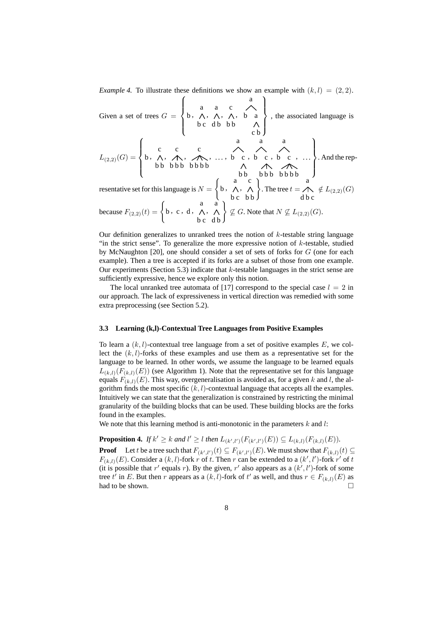*Example* 4. To illustrate these definitions we show an example with  $(k, l) = (2, 2)$ .

Given a set of trees  $G =$  $\sqrt{ }$  $\int$  $\overline{\mathcal{L}}$  $\mathbf b$  , b c a , d b a , b b c , c b b a  $a \rightarrow$  $\overline{\mathcal{L}}$  $\int$ , the associated language is  $L_{(2,2)}(G) =$  $\sqrt{ }$  $\int$  $\mathcal{L}$  $\mathbf b$  , b b c , b b b c , b b b b c , . . . , b b b c a , b b b b c a , b b b b b c a , . . .  $\mathcal{L}$  $\overline{\mathcal{L}}$  $\int$ . And the representative set for this language is  $N =$  $\sqrt{ }$  $\mathbf b$  , b c a , b b  $c \mid$ . The tree  $t =$ d b c a  $\notin L_{(2,2)}(G)$ because  $F_{(2,2)}(t) =$  $\begin{cases} b, c, d, \end{cases}$ b c a , d b  $a$  )  $\nsubseteq G$ . Note that  $N \nsubseteq L_{(2,2)}(G)$ .

Our definition generalizes to unranked trees the notion of  $k$ -testable string language "in the strict sense". To generalize the more expressive notion of  $k$ -testable, studied by McNaughton  $[20]$ , one should consider a set of sets of forks for  $G$  (one for each example). Then a tree is accepted if its forks are a subset of those from one example. Our experiments (Section 5.3) indicate that  $k$ -testable languages in the strict sense are sufficiently expressive, hence we explore only this notion.

The local unranked tree automata of [17] correspond to the special case  $l = 2$  in our approach. The lack of expressiveness in vertical direction was remedied with some extra preprocessing (see Section 5.2).

#### **3.3 Learning (k,l)-Contextual Tree Languages from Positive Examples**

To learn a  $(k, l)$ -contextual tree language from a set of positive examples E, we collect the  $(k, l)$ -forks of these examples and use them as a representative set for the language to be learned. In other words, we assume the language to be learned equals  $L_{(k,l)}(F_{(k,l)}(E))$  (see Algorithm 1). Note that the representative set for this language equals  $F_{(k,l)}(E)$ . This way, overgeneralisation is avoided as, for a given k and l, the algorithm finds the most specific  $(k, l)$ -contextual language that accepts all the examples. Intuitively we can state that the generalization is constrained by restricting the minimal granularity of the building blocks that can be used. These building blocks are the forks found in the examples.

We note that this learning method is anti-monotonic in the parameters  $k$  and  $l$ :

**Proposition 4.** If  $k' \ge k$  and  $l' \ge l$  then  $L_{(k',l')}(F_{(k',l')}(E)) \subseteq L_{(k,l)}(F_{(k,l)}(E)).$ 

**Proof** Let t be a tree such that  $F_{(k',l')}(t) \subseteq F_{(k',l')}(E)$ . We must show that  $F_{(k,l)}(t) \subseteq$  $F_{(k,l)}(E)$ . Consider a  $(k, l)$ -fork r of t. Then r can be extended to a  $(k', l')$ -fork r' of t (it is possible that r' equals r). By the given, r' also appears as a  $(k', l')$ -fork of some tree  $t'$  in E. But then r appears as a  $(k, l)$ -fork of  $t'$  as well, and thus  $r \in F_{(k,l)}(E)$  as had to be shown.  $\Box$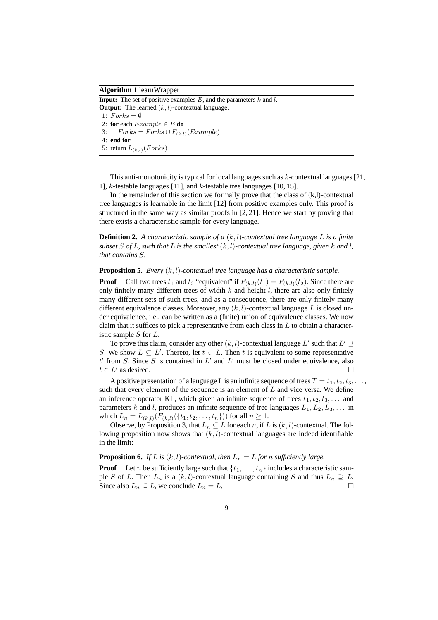**Algorithm 1** learnWrapper

**Input:** The set of positive examples  $E$ , and the parameters  $k$  and  $l$ . **Output:** The learned  $(k, l)$ -contextual language. 1:  $Forks = \emptyset$ 2: **for** each  $Example \in E$  **do** 3:  $Forks = Forks \cup F_{(k,l)}(Example)$ 4: **end for** 5: return  $L_{(k,l)}(Forks)$ 

This anti-monotonicity is typical for local languages such as  $k$ -contextual languages [21, 1], k-testable languages [11], and k-testable tree languages [10, 15].

In the remainder of this section we formally prove that the class of  $(k,l)$ -contextual tree languages is learnable in the limit [12] from positive examples only. This proof is structured in the same way as similar proofs in [2, 21]. Hence we start by proving that there exists a characteristic sample for every language.

**Definition 2.** *A characteristic sample of a* (k, l)*-contextual tree language* L *is a finite subset* S *of* L*, such that* L *is the smallest* (k, l)*-contextual tree language, given* k *and* l*, that contains* S*.*

#### **Proposition 5.** *Every* (k, l)*-contextual tree language has a characteristic sample.*

**Proof** Call two trees  $t_1$  and  $t_2$  "equivalent" if  $F_{(k,l)}(t_1) = F_{(k,l)}(t_2)$ . Since there are only finitely many different trees of width  $k$  and height  $l$ , there are also only finitely many different sets of such trees, and as a consequence, there are only finitely many different equivalence classes. Moreover, any  $(k, l)$ -contextual language L is closed under equivalence, i.e., can be written as a (finite) union of equivalence classes. We now claim that it suffices to pick a representative from each class in  $L$  to obtain a characteristic sample S for L.

To prove this claim, consider any other  $(k, l)$ -contextual language  $L'$  such that  $L' \supseteq$ S. We show  $L \subseteq L'$ . Thereto, let  $t \in L$ . Then t is equivalent to some representative  $t'$  from S. Since S is contained in  $L'$  and  $L'$  must be closed under equivalence, also  $t \in L'$ as desired.  $\Box$ 

A positive presentation of a language L is an infinite sequence of trees  $T = t_1, t_2, t_3, \ldots$ such that every element of the sequence is an element of  $L$  and vice versa. We define an inference operator KL, which given an infinite sequence of trees  $t_1, t_2, t_3, \ldots$  and parameters k and l, produces an infinite sequence of tree languages  $L_1, L_2, L_3, \ldots$  in which  $L_n = L_{(k,l)}(F_{(k,l)}(\{t_1, t_2, \ldots, t_n\}))$  for all  $n \ge 1$ .

Observe, by Proposition 3, that  $L_n \subseteq L$  for each n, if L is  $(k, l)$ -contextual. The following proposition now shows that  $(k, l)$ -contextual languages are indeed identifiable in the limit:

**Proposition 6.** *If L is* (*k*, *l*)*-contextual, then*  $L_n = L$  *for n sufficiently large.* 

**Proof** Let n be sufficiently large such that  $\{t_1, \ldots, t_n\}$  includes a characteristic sample S of L. Then  $L_n$  is a  $(k, l)$ -contextual language containing S and thus  $L_n \supseteq L$ . Since also  $L_n \subseteq L$ , we conclude  $L_n = L$ .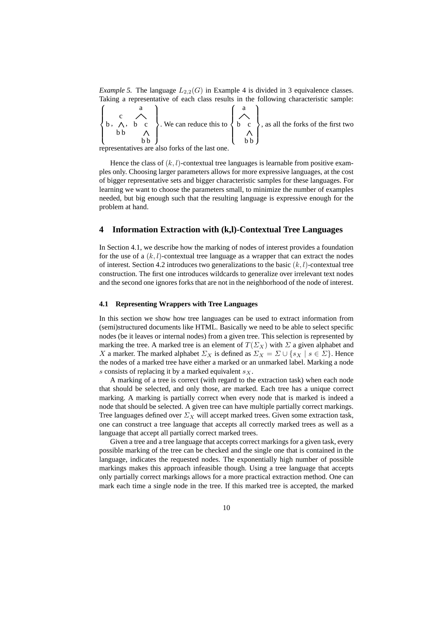*Example* 5. The language  $L_{2,2}(G)$  in Example 4 is divided in 3 equivalence classes. Taking a representative of each class results in the following characteristic sample:

$$
\left\{\n\begin{array}{c}\n\text{c} \\
\text{b} \\
\text{b} \\
\text{c}\n\end{array}\n\right\}.
$$
\nWe can reduce this to 
$$
\left\{\n\begin{array}{c}\n\text{a} \\
\text{b} \\
\text{c} \\
\text{c}\n\end{array}\n\right\}
$$
, as all the forks of the first two

representatives are also forks of the last one.

Hence the class of  $(k, l)$ -contextual tree languages is learnable from positive examples only. Choosing larger parameters allows for more expressive languages, at the cost of bigger representative sets and bigger characteristic samples for these languages. For learning we want to choose the parameters small, to minimize the number of examples needed, but big enough such that the resulting language is expressive enough for the problem at hand.

#### **4 Information Extraction with (k,l)-Contextual Tree Languages**

In Section 4.1, we describe how the marking of nodes of interest provides a foundation for the use of a  $(k, l)$ -contextual tree language as a wrapper that can extract the nodes of interest. Section 4.2 introduces two generalizations to the basic  $(k, l)$ -contextual tree construction. The first one introduces wildcards to generalize over irrelevant text nodes and the second one ignores forks that are not in the neighborhood of the node of interest.

#### **4.1 Representing Wrappers with Tree Languages**

In this section we show how tree languages can be used to extract information from (semi)structured documents like HTML. Basically we need to be able to select specific nodes (be it leaves or internal nodes) from a given tree. This selection is represented by marking the tree. A marked tree is an element of  $T(\Sigma_X)$  with  $\Sigma$  a given alphabet and X a marker. The marked alphabet  $\Sigma_X$  is defined as  $\Sigma_X = \Sigma \cup \{s_X \mid s \in \Sigma\}$ . Hence the nodes of a marked tree have either a marked or an unmarked label. Marking a node s consists of replacing it by a marked equivalent  $s_X$ .

A marking of a tree is correct (with regard to the extraction task) when each node that should be selected, and only those, are marked. Each tree has a unique correct marking. A marking is partially correct when every node that is marked is indeed a node that should be selected. A given tree can have multiple partially correct markings. Tree languages defined over  $\Sigma_X$  will accept marked trees. Given some extraction task, one can construct a tree language that accepts all correctly marked trees as well as a language that accept all partially correct marked trees.

Given a tree and a tree language that accepts correct markings for a given task, every possible marking of the tree can be checked and the single one that is contained in the language, indicates the requested nodes. The exponentially high number of possible markings makes this approach infeasible though. Using a tree language that accepts only partially correct markings allows for a more practical extraction method. One can mark each time a single node in the tree. If this marked tree is accepted, the marked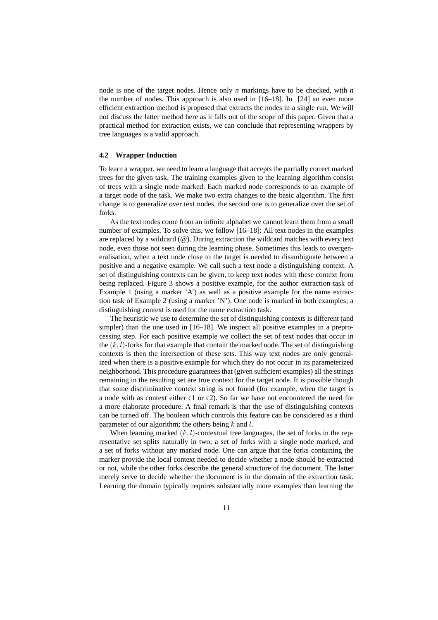node is one of the target nodes. Hence only *n* markings have to be checked, with *n* the number of nodes. This approach is also used in [16–18]. In [24] an even more efficient extraction method is proposed that extracts the nodes in a single run. We will not discuss the latter method here as it falls out of the scope of this paper. Given that a practical method for extraction exists, we can conclude that representing wrappers by tree languages is a valid approach.

#### **4.2 Wrapper Induction**

To learn a wrapper, we need to learn a language that accepts the partially correct marked trees for the given task. The training examples given to the learning algorithm consist of trees with a single node marked. Each marked node corresponds to an example of a target node of the task. We make two extra changes to the basic algorithm. The first change is to generalize over text nodes, the second one is to generalize over the set of forks.

As the text nodes come from an infinite alphabet we cannot learn them from a small number of examples. To solve this, we follow [16–18]: All text nodes in the examples are replaced by a wildcard  $(\mathcal{Q})$ . During extraction the wildcard matches with every text node, even those not seen during the learning phase. Sometimes this leads to overgeneralisation, when a text node close to the target is needed to disambiguate between a positive and a negative example. We call such a text node a distinguishing context. A set of distinguishing contexts can be given, to keep text nodes with these context from being replaced. Figure 3 shows a positive example, for the author extraction task of Example 1 (using a marker  $'A'$ ) as well as a positive example for the name extraction task of Example 2 (using a marker 'N'). One node is marked in both examples; a distinguishing context is used for the name extraction task.

The heuristic we use to determine the set of distinguishing contexts is different (and simpler) than the one used in [16–18]. We inspect all positive examples in a preprocessing step. For each positive example we collect the set of text nodes that occur in the  $(k, l)$ -forks for that example that contain the marked node. The set of distinguishing contexts is then the intersection of these sets. This way text nodes are only generalized when there is a positive example for which they do not occur in its parameterized neighborhood. This procedure guarantees that (given sufficient examples) all the strings remaining in the resulting set are true context for the target node. It is possible though that some discriminative context string is not found (for example, when the target is a node with as context either c1 or c2). So far we have not encountered the need for a more elaborate procedure. A final remark is that the use of distinguishing contexts can be turned off. The boolean which controls this feature can be considered as a third parameter of our algorithm; the others being  $k$  and  $l$ .

When learning marked  $(k, l)$ -contextual tree languages, the set of forks in the representative set splits naturally in two; a set of forks with a single node marked, and a set of forks without any marked node. One can argue that the forks containing the marker provide the local context needed to decide whether a node should be extracted or not, while the other forks describe the general structure of the document. The latter merely serve to decide whether the document is in the domain of the extraction task. Learning the domain typically requires substantially more examples than learning the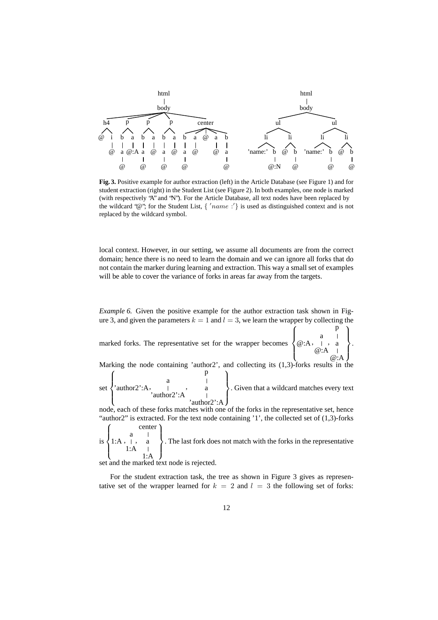

**Fig. 3.** Positive example for author extraction (left) in the Article Database (see Figure 1) and for student extraction (right) in the Student List (see Figure 2). In both examples, one node is marked (with respectively "A" and "N"). For the Article Database, all text nodes have been replaced by the wildcard "@"; for the Student List,  $\{ 'name :' \}$  is used as distinguished context and is not replaced by the wildcard symbol.

local context. However, in our setting, we assume all documents are from the correct domain; hence there is no need to learn the domain and we can ignore all forks that do not contain the marker during learning and extraction. This way a small set of examples will be able to cover the variance of forks in areas far away from the targets.

*Example 6.* Given the positive example for the author extraction task shown in Figure 3, and given the parameters  $k = 1$  and  $l = 3$ , we learn the wrapper by collecting the

> $\overline{a}$ .

p  $\sqrt{ }$  $\int$ a  $\mathbf{I}$ marked forks. The representative set for the wrapper becomes @:A, , a  $@:A$  $\left(\begin{array}{c} \qquad @.A \ @.A \end{array}\right)$  $@:A$ 

Marking the node containing 'author2', and collecting its (1,3)-forks results in the  $\sqrt{ }$ a  $p \rightarrow$ 

 $\int$  $\overline{\mathcal{L}}$ , . Given that a wildcard matches every text author2':A,  $\mathbf{I}$ a 'author2':A  $\left\{\right. \qquad \qquad \left. \begin{array}{c} \text{autino12} \ . \ \text{A} \\ \text{author2}: \ \text{A} \end{array} \right\}$ 'author2':A

node, each of these forks matches with one of the forks in the representative set, hence "author2" is extracted. For the text node containing  $'1'$ , the collected set of  $(1,3)$ -forks ſ  $center$ )

is 
$$
\begin{cases} 1:A, & 1, \dots, a \\ 1:A & 1 \\ 1:A & 1 \end{cases}
$$
. The last fork does not match with the forks in the representative

set and the marked text node is rejected.

set

For the student extraction task, the tree as shown in Figure 3 gives as representative set of the wrapper learned for  $k = 2$  and  $l = 3$  the following set of forks: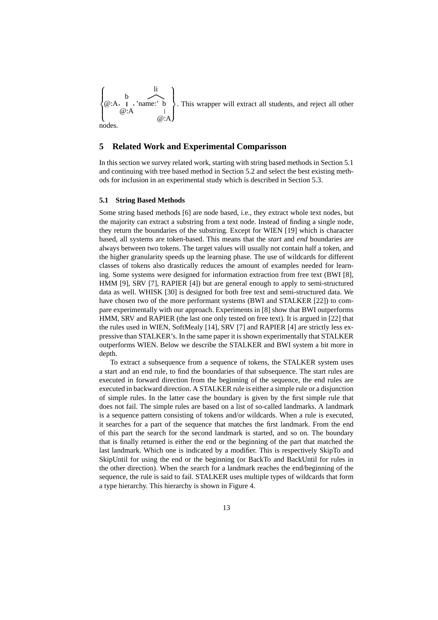$\sqrt{ }$  $\int_{\omega:A}$  $\overline{\mathcal{L}}$ @:A b , 'name:' b @:A  $\ln$ )  $\overline{\mathcal{L}}$  $\int$ . This wrapper will extract all students, and reject all other nodes.

# **5 Related Work and Experimental Comparisson**

In this section we survey related work, starting with string based methods in Section 5.1 and continuing with tree based method in Section 5.2 and select the best existing methods for inclusion in an experimental study which is described in Section 5.3.

#### **5.1 String Based Methods**

Some string based methods [6] are node based, i.e., they extract whole text nodes, but the majority can extract a substring from a text node. Instead of finding a single node, they return the boundaries of the substring. Except for WIEN [19] which is character based, all systems are token-based. This means that the *start* and *end* boundaries are always between two tokens. The target values will usually not contain half a token, and the higher granularity speeds up the learning phase. The use of wildcards for different classes of tokens also drastically reduces the amount of examples needed for learning. Some systems were designed for information extraction from free text (BWI [8], HMM [9], SRV [7], RAPIER [4]) but are general enough to apply to semi-structured data as well. WHISK [30] is designed for both free text and semi-structured data. We have chosen two of the more performant systems (BWI and STALKER [22]) to compare experimentally with our approach. Experiments in [8] show that BWI outperforms HMM, SRV and RAPIER (the last one only tested on free text). It is argued in [22] that the rules used in WIEN, SoftMealy [14], SRV [7] and RAPIER [4] are strictly less expressive than STALKER's. In the same paper it is shown experimentally that STALKER outperforms WIEN. Below we describe the STALKER and BWI system a bit more in depth.

To extract a subsequence from a sequence of tokens, the STALKER system uses a start and an end rule, to find the boundaries of that subsequence. The start rules are executed in forward direction from the beginning of the sequence, the end rules are executed in backward direction. A STALKER rule is either a simple rule or a disjunction of simple rules. In the latter case the boundary is given by the first simple rule that does not fail. The simple rules are based on a list of so-called landmarks. A landmark is a sequence pattern consisting of tokens and/or wildcards. When a rule is executed, it searches for a part of the sequence that matches the first landmark. From the end of this part the search for the second landmark is started, and so on. The boundary that is finally returned is either the end or the beginning of the part that matched the last landmark. Which one is indicated by a modifier. This is respectively SkipTo and SkipUntil for using the end or the beginning (or BackTo and BackUntil for rules in the other direction). When the search for a landmark reaches the end/beginning of the sequence, the rule is said to fail. STALKER uses multiple types of wildcards that form a type hierarchy. This hierarchy is shown in Figure 4.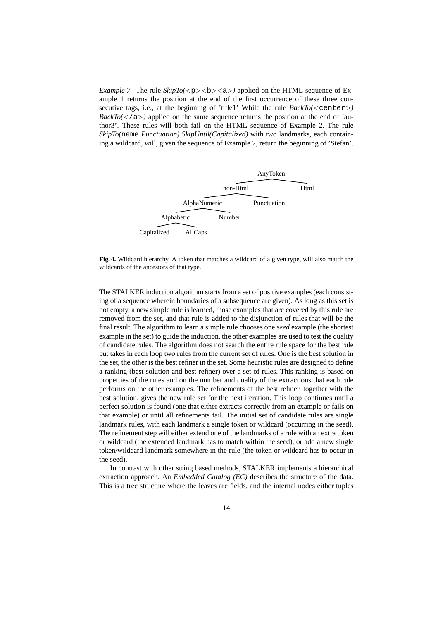*Example* 7. The rule  $\frac{SkipTo}{$  $>$ b $>$  $<$ b $>$ a $>$ ) applied on the HTML sequence of Example 1 returns the position at the end of the first occurrence of these three consecutive tags, i.e., at the beginning of 'title1' While the rule  $BackTo()$ *BackTo(* $\langle$  /a $\rangle$ ) applied on the same sequence returns the position at the end of 'author3'. These rules will both fail on the HTML sequence of Example 2. The rule *SkipTo(*name *Punctuation) SkipUntil(Capitalized)* with two landmarks, each containing a wildcard, will, given the sequence of Example 2, return the beginning of 'Stefan'.



**Fig. 4.** Wildcard hierarchy. A token that matches a wildcard of a given type, will also match the wildcards of the ancestors of that type.

The STALKER induction algorithm starts from a set of positive examples (each consisting of a sequence wherein boundaries of a subsequence are given). As long as this set is not empty, a new simple rule is learned, those examples that are covered by this rule are removed from the set, and that rule is added to the disjunction of rules that will be the final result. The algorithm to learn a simple rule chooses one *seed* example (the shortest example in the set) to guide the induction, the other examples are used to test the quality of candidate rules. The algorithm does not search the entire rule space for the best rule but takes in each loop two rules from the current set of rules. One is the best solution in the set, the other is the best refiner in the set. Some heuristic rules are designed to define a ranking (best solution and best refiner) over a set of rules. This ranking is based on properties of the rules and on the number and quality of the extractions that each rule performs on the other examples. The refinements of the best refiner, together with the best solution, gives the new rule set for the next iteration. This loop continues until a perfect solution is found (one that either extracts correctly from an example or fails on that example) or until all refinements fail. The initial set of candidate rules are single landmark rules, with each landmark a single token or wildcard (occurring in the seed). The refinement step will either extend one of the landmarks of a rule with an extra token or wildcard (the extended landmark has to match within the seed), or add a new single token/wildcard landmark somewhere in the rule (the token or wildcard has to occur in the seed).

In contrast with other string based methods, STALKER implements a hierarchical extraction approach. An *Embedded Catalog (EC)* describes the structure of the data. This is a tree structure where the leaves are fields, and the internal nodes either tuples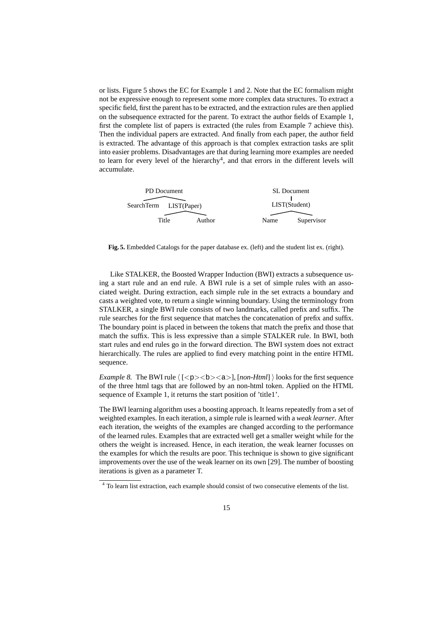or lists. Figure 5 shows the EC for Example 1 and 2. Note that the EC formalism might not be expressive enough to represent some more complex data structures. To extract a specific field, first the parent has to be extracted, and the extraction rules are then applied on the subsequence extracted for the parent. To extract the author fields of Example 1, first the complete list of papers is extracted (the rules from Example 7 achieve this). Then the individual papers are extracted. And finally from each paper, the author field is extracted. The advantage of this approach is that complex extraction tasks are split into easier problems. Disadvantages are that during learning more examples are needed to learn for every level of the hierarchy<sup>4</sup>, and that errors in the different levels will accumulate.

| PD Document            |        | <b>SL</b> Document |               |  |  |  |
|------------------------|--------|--------------------|---------------|--|--|--|
| SearchTerm LIST(Paper) |        |                    | LIST(Student) |  |  |  |
|                        |        |                    |               |  |  |  |
| Title                  | Author | Name               | Supervisor    |  |  |  |

**Fig. 5.** Embedded Catalogs for the paper database ex. (left) and the student list ex. (right).

Like STALKER, the Boosted Wrapper Induction (BWI) extracts a subsequence using a start rule and an end rule. A BWI rule is a set of simple rules with an associated weight. During extraction, each simple rule in the set extracts a boundary and casts a weighted vote, to return a single winning boundary. Using the terminology from STALKER, a single BWI rule consists of two landmarks, called prefix and suffix. The rule searches for the first sequence that matches the concatenation of prefix and suffix. The boundary point is placed in between the tokens that match the prefix and those that match the suffix. This is less expressive than a simple STALKER rule. In BWI, both start rules and end rules go in the forward direction. The BWI system does not extract hierarchically. The rules are applied to find every matching point in the entire HTML sequence.

*Example* 8. The BWI rule  $\langle |\langle p \rangle \langle \delta \rangle \langle a \rangle$ ,  $[non-Html] \rangle$  looks for the first sequence of the three html tags that are followed by an non-html token. Applied on the HTML sequence of Example 1, it returns the start position of 'title1'.

The BWI learning algorithm uses a boosting approach. It learns repeatedly from a set of weighted examples. In each iteration, a simple rule is learned with a *weak learner*. After each iteration, the weights of the examples are changed according to the performance of the learned rules. Examples that are extracted well get a smaller weight while for the others the weight is increased. Hence, in each iteration, the weak learner focusses on the examples for which the results are poor. This technique is shown to give significant improvements over the use of the weak learner on its own [29]. The number of boosting iterations is given as a parameter T.

<sup>4</sup> To learn list extraction, each example should consist of two consecutive elements of the list.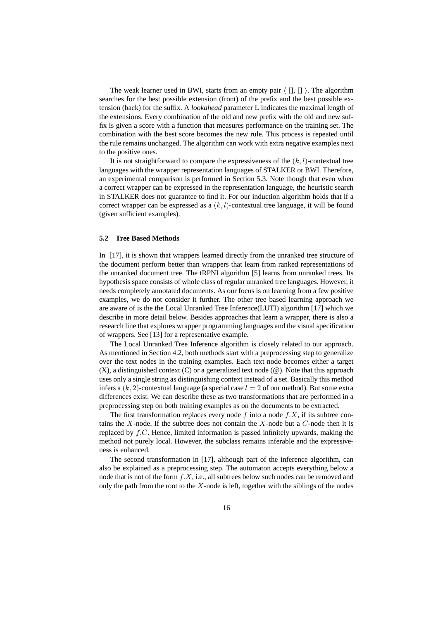The weak learner used in BWI, starts from an empty pair  $\langle \cdot | \cdot \rangle$ . The algorithm searches for the best possible extension (front) of the prefix and the best possible extension (back) for the suffix. A *lookahead* parameter L indicates the maximal length of the extensions. Every combination of the old and new prefix with the old and new suffix is given a score with a function that measures performance on the training set. The combination with the best score becomes the new rule. This process is repeated until the rule remains unchanged. The algorithm can work with extra negative examples next to the positive ones.

It is not straightforward to compare the expressiveness of the  $(k, l)$ -contextual tree languages with the wrapper representation languages of STALKER or BWI. Therefore, an experimental comparison is performed in Section 5.3. Note though that even when a correct wrapper can be expressed in the representation language, the heuristic search in STALKER does not guarantee to find it. For our induction algorithm holds that if a correct wrapper can be expressed as a  $(k, l)$ -contextual tree language, it will be found (given sufficient examples).

#### **5.2 Tree Based Methods**

In [17], it is shown that wrappers learned directly from the unranked tree structure of the document perform better than wrappers that learn from ranked representations of the unranked document tree. The tRPNI algorithm [5] learns from unranked trees. Its hypothesis space consists of whole class of regular unranked tree languages. However, it needs completely annotated documents. As our focus is on learning from a few positive examples, we do not consider it further. The other tree based learning approach we are aware of is the the Local Unranked Tree Inference(LUTI) algorithm [17] which we describe in more detail below. Besides approaches that learn a wrapper, there is also a research line that explores wrapper programming languages and the visual specification of wrappers. See [13] for a representative example.

The Local Unranked Tree Inference algorithm is closely related to our approach. As mentioned in Section 4.2, both methods start with a preprocessing step to generalize over the text nodes in the training examples. Each text node becomes either a target  $(X)$ , a distinguished context  $(C)$  or a generalized text node  $(Q)$ . Note that this approach uses only a single string as distinguishing context instead of a set. Basically this method infers a  $(k, 2)$ -contextual language (a special case  $l = 2$  of our method). But some extra differences exist. We can describe these as two transformations that are performed in a preprocessing step on both training examples as on the documents to be extracted.

The first transformation replaces every node f into a node  $f.X$ , if its subtree contains the X-node. If the subtree does not contain the X-node but a  $C$ -node then it is replaced by f.C. Hence, limited information is passed infinitely upwards, making the method not purely local. However, the subclass remains inferable and the expressiveness is enhanced.

The second transformation in [17], although part of the inference algorithm, can also be explained as a preprocessing step. The automaton accepts everything below a node that is not of the form  $f.X$ , i.e., all subtrees below such nodes can be removed and only the path from the root to the  $X$ -node is left, together with the siblings of the nodes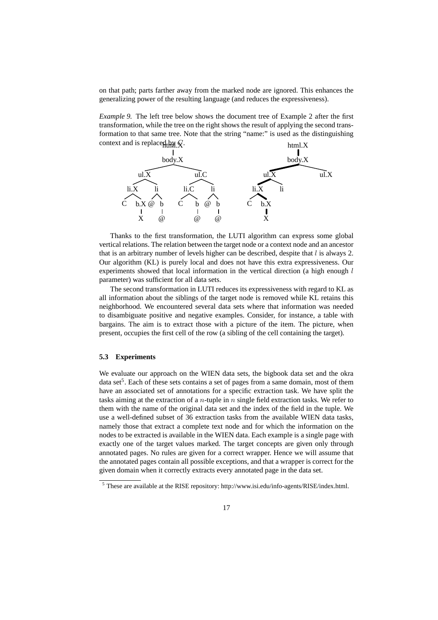on that path; parts farther away from the marked node are ignored. This enhances the generalizing power of the resulting language (and reduces the expressiveness).

*Example 9.* The left tree below shows the document tree of Example 2 after the first transformation, while the tree on the right shows the result of applying the second transformation to that same tree. Note that the string "name:" is used as the distinguishing context and is replaced  $\lim_{x \to \infty}$ . html.X



Thanks to the first transformation, the LUTI algorithm can express some global vertical relations. The relation between the target node or a context node and an ancestor that is an arbitrary number of levels higher can be described, despite that  $l$  is always 2. Our algorithm (KL) is purely local and does not have this extra expressiveness. Our experiments showed that local information in the vertical direction (a high enough  $l$ parameter) was sufficient for all data sets.

The second transformation in LUTI reduces its expressiveness with regard to KL as all information about the siblings of the target node is removed while KL retains this neighborhood. We encountered several data sets where that information was needed to disambiguate positive and negative examples. Consider, for instance, a table with bargains. The aim is to extract those with a picture of the item. The picture, when present, occupies the first cell of the row (a sibling of the cell containing the target).

#### **5.3 Experiments**

We evaluate our approach on the WIEN data sets, the bigbook data set and the okra data set<sup>5</sup>. Each of these sets contains a set of pages from a same domain, most of them have an associated set of annotations for a specific extraction task. We have split the tasks aiming at the extraction of a *n*-tuple in *n* single field extraction tasks. We refer to them with the name of the original data set and the index of the field in the tuple. We use a well-defined subset of 36 extraction tasks from the available WIEN data tasks, namely those that extract a complete text node and for which the information on the nodes to be extracted is available in the WIEN data. Each example is a single page with exactly one of the target values marked. The target concepts are given only through annotated pages. No rules are given for a correct wrapper. Hence we will assume that the annotated pages contain all possible exceptions, and that a wrapper is correct for the given domain when it correctly extracts every annotated page in the data set.

<sup>5</sup> These are available at the RISE repository: http://www.isi.edu/info-agents/RISE/index.html.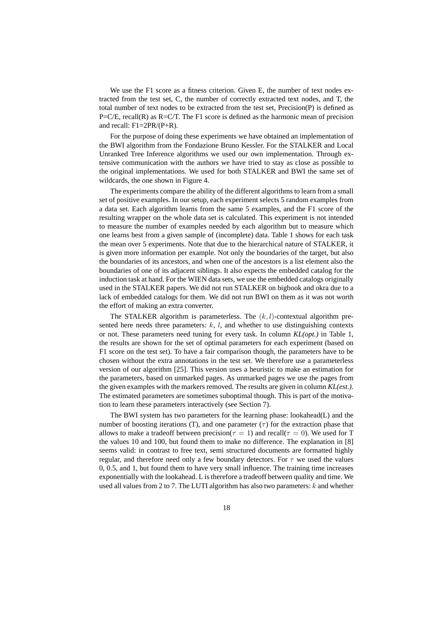We use the F1 score as a fitness criterion. Given E, the number of text nodes extracted from the test set, C, the number of correctly extracted text nodes, and T, the total number of text nodes to be extracted from the test set, Precision(P) is defined as  $P=C/E$ , recall $(R)$  as  $R=C/T$ . The F1 score is defined as the harmonic mean of precision and recall: F1=2PR/(P+R).

For the purpose of doing these experiments we have obtained an implementation of the BWI algorithm from the Fondazione Bruno Kessler. For the STALKER and Local Unranked Tree Inference algorithms we used our own implementation. Through extensive communication with the authors we have tried to stay as close as possible to the original implementations. We used for both STALKER and BWI the same set of wildcards, the one shown in Figure 4.

The experiments compare the ability of the different algorithmsto learn from a small set of positive examples. In our setup, each experiment selects 5 random examples from a data set. Each algorithm learns from the same 5 examples, and the F1 score of the resulting wrapper on the whole data set is calculated. This experiment is not intended to measure the number of examples needed by each algorithm but to measure which one learns best from a given sample of (incomplete) data. Table 1 shows for each task the mean over 5 experiments. Note that due to the hierarchical nature of STALKER, it is given more information per example. Not only the boundaries of the target, but also the boundaries of its ancestors, and when one of the ancestors is a list element also the boundaries of one of its adjacent siblings. It also expects the embedded catalog for the induction task at hand. For the WIEN data sets, we use the embedded catalogs originally used in the STALKER papers. We did not run STALKER on bigbook and okra due to a lack of embedded catalogs for them. We did not run BWI on them as it was not worth the effort of making an extra converter.

The STALKER algorithm is parameterless. The  $(k, l)$ -contextual algorithm presented here needs three parameters:  $k$ ,  $l$ , and whether to use distinguishing contexts or not. These parameters need tuning for every task. In column *KL(opt.)* in Table 1, the results are shown for the set of optimal parameters for each experiment (based on F1 score on the test set). To have a fair comparison though, the parameters have to be chosen without the extra annotations in the test set. We therefore use a parameterless version of our algorithm [25]. This version uses a heuristic to make an estimation for the parameters, based on unmarked pages. As unmarked pages we use the pages from the given examples with the markers removed. The results are given in column *KL(est.)*. The estimated parameters are sometimes suboptimal though. This is part of the motivation to learn these parameters interactively (see Section 7).

The BWI system has two parameters for the learning phase: lookahead(L) and the number of boosting iterations (T), and one parameter  $(\tau)$  for the extraction phase that allows to make a tradeoff between precision( $\tau = 1$ ) and recall( $\tau = 0$ ). We used for T the values 10 and 100, but found them to make no difference. The explanation in [8] seems valid: in contrast to free text, semi structured documents are formatted highly regular, and therefore need only a few boundary detectors. For  $\tau$  we used the values 0, 0.5, and 1, but found them to have very small influence. The training time increases exponentially with the lookahead. L is therefore a tradeoff between quality and time. We used all values from 2 to 7. The LUTI algorithm has also two parameters:  $k$  and whether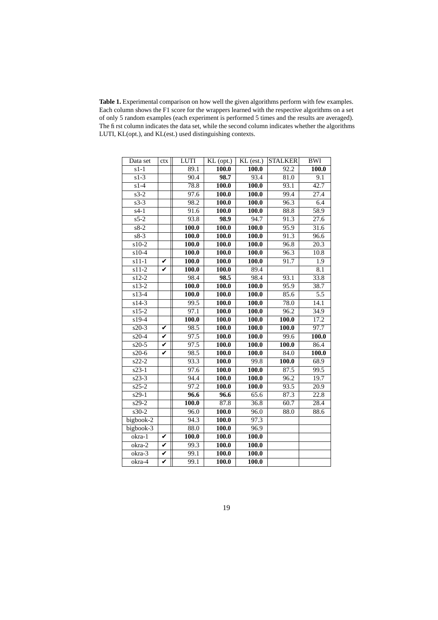**Table 1.** Experimental comparison on how well the given algorithms perform with few examples. Each column shows the F1 score for the wrappers learned with the respective algorithms on a set of only 5 random examples (each experiment is performed 5 times and the results are averaged). The first column indicates the data set, while the second column indicates whether the algorithms LUTI, KL(opt.), and KL(est.) used distinguishing contexts.

| Data set     | ctx | <b>LUTI</b>  | KL (opt.)          | KL (est.) | <b>STALKER</b>    | <b>BWI</b>        |
|--------------|-----|--------------|--------------------|-----------|-------------------|-------------------|
| $s1-1$       |     | 89.1         | 100.0              | 100.0     | 92.2              | 100.0             |
| $s1-3$       |     | 90.4         | 98.7               | 93.4      | 81.0              | 9.1               |
| $s1-4$       |     | 78.8         | 100.0              | 100.0     | 93.1              | 42.7              |
| $\sqrt{3-2}$ |     | 97.6         | <b>100.0</b>       | 100.0     | 99.4              | 27.4              |
| $s3-3$       |     | 98.2         | 100.0              | 100.0     | 96.3              | 6.4               |
| $s4-1$       |     | 91.6         | 100.0              | 100.0     | 88.8              | 58.9              |
| $s5-2$       |     | 93.8         | 98.9               | 94.7      | 91.3              | 27.6              |
| $s8-2$       |     | 100.0        | 100.0              | 100.0     | 95.9              | 31.6              |
| $s8-3$       |     | <b>100.0</b> | 100.0              | 100.0     | 91.3              | 96.6              |
| $s10-2$      |     | 100.0        | 100.0              | 100.0     | 96.8              | 20.3              |
| $s10-4$      |     | 100.0        | 100.0              | 100.0     | 96.3              | 10.8              |
| $s11-1$      | V   | 100.0        | 100.0              | 100.0     | 91.7              | $\overline{1.9}$  |
| $s11-2$      | ✓   | <b>100.0</b> | 100.0              | 89.4      |                   | 8.1               |
| $s12-2$      |     | 98.4         | 98.5               | 98.4      | 93.1              | 33.8              |
| $s13-2$      |     | 100.0        | 100.0              | 100.0     | $\overline{95.9}$ | 38.7              |
| $s13-4$      |     | 100.0        | 100.0              | 100.0     | 85.6              | 5.5               |
| $s14-3$      |     | 99.5         | 100.0              | 100.0     | 78.0              | 14.1              |
| $s15-2$      |     | 97.1         | 100.0              | 100.0     | 96.2              | 34.9              |
| s19-4        |     | 100.0        | 100.0              | 100.0     | <b>100.0</b>      | 17.2              |
| $s20-3$      | V   | 98.5         | $\overline{100.0}$ | 100.0     | 100.0             | 97.7              |
| $s20-4$      | V   | 97.5         | 100.0              | 100.0     | 99.6              | 100.0             |
| $s20-5$      | V   | 97.5         | 100.0              | 100.0     | 100.0             | 86.4              |
| $s20-6$      | V   | 98.5         | 100.0              | 100.0     | 84.0              | 100.0             |
| $s22-2$      |     | 93.3         | 100.0              | 99.8      | 100.0             | 68.9              |
| $s23-1$      |     | 97.6         | 100.0              | 100.0     | 87.5              | 99.5              |
| $s23-3$      |     | 94.4         | 100.0              | 100.0     | 96.2              | 19.7              |
| $s25-2$      |     | 97.2         | 100.0              | 100.0     | 93.5              | $\overline{20.9}$ |
| $s29-1$      |     | 96.6         | 96.6               | 65.6      | 87.3              | 22.8              |
| $s29-2$      |     | 100.0        | 87.8               | 36.8      | 60.7              | 28.4              |
| $s30-2$      |     | 96.0         | 100.0              | 96.0      | 88.0              | 88.6              |
| bigbook-2    |     | 94.3         | <b>100.0</b>       | 97.3      |                   |                   |
| bigbook-3    |     | 88.0         | 100.0              | 96.9      |                   |                   |
| okra-1       | V   | 100.0        | 100.0              | 100.0     |                   |                   |
| okra-2       | V   | 99.3         | 100.0              | 100.0     |                   |                   |
| okra-3       | V   | 99.1         | <b>100.0</b>       | 100.0     |                   |                   |
| okra-4       | V   | 99.1         | 100.0              | 100.0     |                   |                   |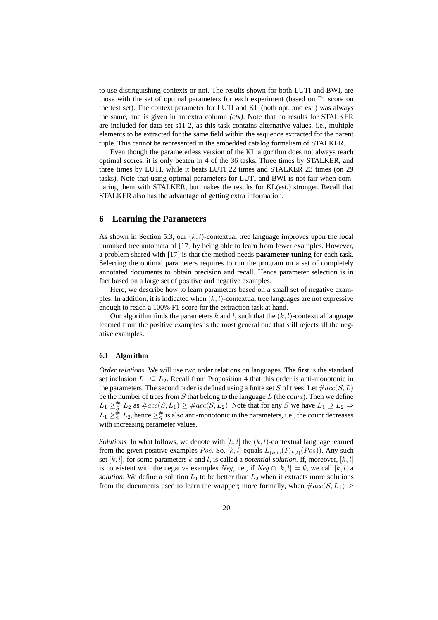to use distinguishing contexts or not. The results shown for both LUTI and BWI, are those with the set of optimal parameters for each experiment (based on F1 score on the test set). The context parameter for LUTI and KL (both opt. and est.) was always the same, and is given in an extra column *(ctx)*. Note that no results for STALKER are included for data set s11-2, as this task contains alternative values, i.e., multiple elements to be extracted for the same field within the sequence extracted for the parent tuple. This cannot be represented in the embedded catalog formalism of STALKER.

Even though the parameterless version of the KL algorithm does not always reach optimal scores, it is only beaten in 4 of the 36 tasks. Three times by STALKER, and three times by LUTI, while it beats LUTI 22 times and STALKER 23 times (on 29 tasks). Note that using optimal parameters for LUTI and BWI is not fair when comparing them with STALKER, but makes the results for KL(est.) stronger. Recall that STALKER also has the advantage of getting extra information.

### **6 Learning the Parameters**

As shown in Section 5.3, our  $(k, l)$ -contextual tree language improves upon the local unranked tree automata of [17] by being able to learn from fewer examples. However, a problem shared with [17] is that the method needs **parameter tuning** for each task. Selecting the optimal parameters requires to run the program on a set of completely annotated documents to obtain precision and recall. Hence parameter selection is in fact based on a large set of positive and negative examples.

Here, we describe how to learn parameters based on a small set of negative examples. In addition, it is indicated when  $(k, l)$ -contextual tree languages are not expressive enough to reach a 100% F1-score for the extraction task at hand.

Our algorithm finds the parameters k and l, such that the  $(k, l)$ -contextual language learned from the positive examples is the most general one that still rejects all the negative examples.

#### **6.1 Algorithm**

*Order relations* We will use two order relations on languages. The first is the standard set inclusion  $L_1 \subseteq L_2$ . Recall from Proposition 4 that this order is anti-monotonic in the parameters. The second order is defined using a finite set S of trees. Let  $\#acc(S, L)$ be the number of trees from S that belong to the language L (the *count*). Then we define  $L_1 \geq_S^{\#} L_2$  as  $\#acc(S, L_1) \geq \#acc(S, L_2)$ . Note that for any S we have  $L_1 \supseteq L_2 \Rightarrow$  $L_1 \geq_S^{\#} L_2$ , hence  $\geq_S^{\#}$  is also anti-monotonic in the parameters, i.e., the count decreases with increasing parameter values.

*Solutions* In what follows, we denote with  $[k, l]$  the  $(k, l)$ -contextual language learned from the given positive examples Pos. So, [k, l] equals  $L_{(k,l)}(F_{(k,l)}(Pos))$ . Any such set  $[k, l]$ , for some parameters k and l, is called a *potential solution*. If, moreover,  $[k, l]$ is consistent with the negative examples Neg, i.e., if  $Neg \cap [k, l] = \emptyset$ , we call  $[k, l]$  a *solution*. We define a solution  $L_1$  to be better than  $L_2$  when it extracts more solutions from the documents used to learn the wrapper; more formally, when  $\#acc(S, L_1) \ge$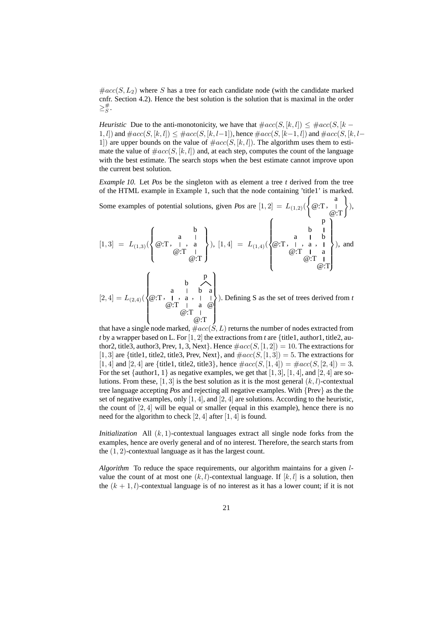$\#acc(S, L_2)$  where S has a tree for each candidate node (with the candidate marked cnfr. Section 4.2). Hence the best solution is the solution that is maximal in the order  $\geq_S^{\#}$ .

*Heuristic* Due to the anti-monotonicity, we have that  $\#acc(S, [k, l]) \leq \#acc(S, [k - \ell])$ 1, l]) and  $\#acc(S, [k, l]) \leq #acc(S, [k, l-1]),$  hence  $\#acc(S, [k-1, l])$  and  $\#acc(S, [k, l-1])$ 1) are upper bounds on the value of  $\#acc(S, [k, l])$ . The algorithm uses them to estimate the value of  $\#acc(S, [k, l])$  and, at each step, computes the count of the language with the best estimate. The search stops when the best estimate cannot improve upon the current best solution.

*Example 10.* Let *Pos* be the singleton with as element a tree *t* derived from the tree of the HTML example in Example 1, such that the node containing 'title1' is marked. Some examples of potential solutions, given *Pos* are  $[1,2] = L_{(1,2)}($  $\int$  $@:T$ , a ) ),

$$
[1,3] = L_{(1,3)}\left(\left\{\begin{array}{ccc} a & b \\ \varnothing \cdot T & l \\ \varnothing \cdot T & l \end{array}\right\}), [1,4] = L_{(1,4)}\left(\left\{\begin{array}{ccc} a & b & l \\ \varnothing \cdot T & l & a \\ \varnothing \cdot T & l & a \\ \varnothing \cdot T & l & a \end{array}\right\}), \text{ and } \left\{\begin{array}{ccc} a & b & l \\ \varnothing \cdot T & l & a \\ \varnothing \cdot T & l & a \\ \varnothing \cdot T & l & a \\ \varnothing \cdot T & l & a \end{array}\right\}), \text{ and } \left\{\begin{array}{ccc} p \\ \varnothing \cdot T & l & a \\ \varnothing \cdot T & l & a \\ \varnothing \cdot T & l & a \\ \varnothing \cdot T & l & a \end{array}\right\}
$$
\n
$$
[2,4] = L_{(2,4)}\left(\left\{\begin{array}{ccc} b & p \\ \varnothing \cdot T & l & a \\ \varnothing \cdot T & l & a \\ \varnothing \cdot T & l & a \\ \varnothing \cdot T & l & a \end{array}\right\}). \text{ Defining S as the set of trees derived from } t
$$

that have a single node marked,  $\#acc(S, L)$  returns the number of nodes extracted from *t* by a wrapper based on L. For [1, 2] the extractions from *t* are {title1, author1, title2, author2, title3, author3, Prev, 1, 3, Next}. Hence  $\#acc(S, [1, 2]) = 10$ . The extractions for [1, 3] are {title1, title2, title3, Prev, Next}, and  $\#acc(S, [1, 3]) = 5$ . The extractions for [1, 4] and [2, 4] are {title1, title2, title3}, hence  $\#acc(S, [1, 4]) = \#acc(S, [2, 4]) = 3$ . For the set {author1, 1} as negative examples, we get that  $[1, 3]$ ,  $[1, 4]$ , and  $[2, 4]$  are solutions. From these, [1, 3] is the best solution as it is the most general  $(k, l)$ -contextual tree language accepting *Pos* and rejecting all negative examples. With {Prev} as the the set of negative examples, only  $[1, 4]$ , and  $[2, 4]$  are solutions. According to the heuristic, the count of [2, 4] will be equal or smaller (equal in this example), hence there is no need for the algorithm to check  $[2, 4]$  after  $[1, 4]$  is found.

*Initialization* All  $(k, 1)$ -contextual languages extract all single node forks from the examples, hence are overly general and of no interest. Therefore, the search starts from the  $(1, 2)$ -contextual language as it has the largest count.

*Algorithm* To reduce the space requirements, our algorithm maintains for a given lvalue the count of at most one  $(k, l)$ -contextual language. If  $[k, l]$  is a solution, then the  $(k + 1, l)$ -contextual language is of no interest as it has a lower count; if it is not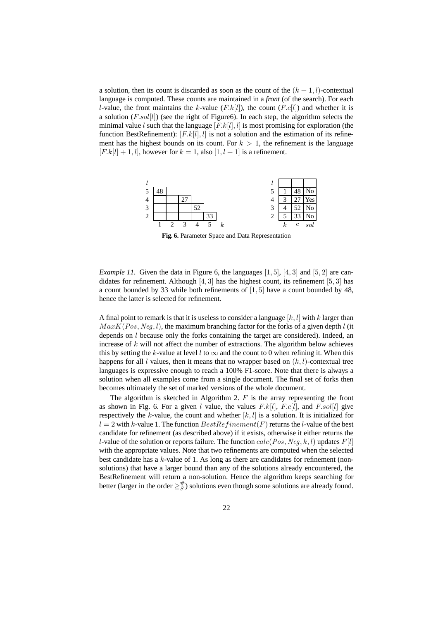a solution, then its count is discarded as soon as the count of the  $(k + 1, l)$ -contextual language is computed. These counts are maintained in a *front* (of the search). For each *l*-value, the front maintains the *k*-value  $(F.k[l])$ , the count  $(F.c[l])$  and whether it is a solution  $(F.\text{sol}[l])$  (see the right of Figure6). In each step, the algorithm selects the minimal value l such that the language  $[F.k[l], l]$  is most promising for exploration (the function BestRefinement):  $[F.k[l], l]$  is not a solution and the estimation of its refinement has the highest bounds on its count. For  $k > 1$ , the refinement is the language  $[F.k[l] + 1, l]$ , however for  $k = 1$ , also  $[1, l + 1]$  is a refinement.



**Fig. 6.** Parameter Space and Data Representation

*Example 11.* Given the data in Figure 6, the languages  $[1, 5]$ ,  $[4, 3]$  and  $[5, 2]$  are candidates for refinement. Although  $[4, 3]$  has the highest count, its refinement  $[5, 3]$  has a count bounded by 33 while both refinements of [1, 5] have a count bounded by 48, hence the latter is selected for refinement.

A final point to remark is that it is useless to consider a language  $[k, l]$  with k larger than  $MaxK(Pos, Neg, l)$ , the maximum branching factor for the forks of a given depth l (it depends on  $l$  because only the forks containing the target are considered). Indeed, an increase of  $k$  will not affect the number of extractions. The algorithm below achieves this by setting the k-value at level l to  $\infty$  and the count to 0 when refining it. When this happens for all l values, then it means that no wrapper based on  $(k, l)$ -contextual tree languages is expressive enough to reach a 100% F1-score. Note that there is always a solution when all examples come from a single document. The final set of forks then becomes ultimately the set of marked versions of the whole document.

The algorithm is sketched in Algorithm 2.  $F$  is the array representing the front as shown in Fig. 6. For a given l value, the values F.k[l], F.c[l], and F.sol[l] give respectively the k-value, the count and whether  $[k, l]$  is a solution. It is initialized for  $l = 2$  with k-value 1. The function  $BestRefinement(F)$  returns the l-value of the best candidate for refinement (as described above) if it exists, otherwise it either returns the l-value of the solution or reports failure. The function  $calc(Pos, Neg, k, l)$  updates  $F[l]$ with the appropriate values. Note that two refinements are computed when the selected best candidate has a  $k$ -value of 1. As long as there are candidates for refinement (nonsolutions) that have a larger bound than any of the solutions already encountered, the BestRefinement will return a non-solution. Hence the algorithm keeps searching for better (larger in the order  $\geq \frac{\#}{S}$ ) solutions even though some solutions are already found.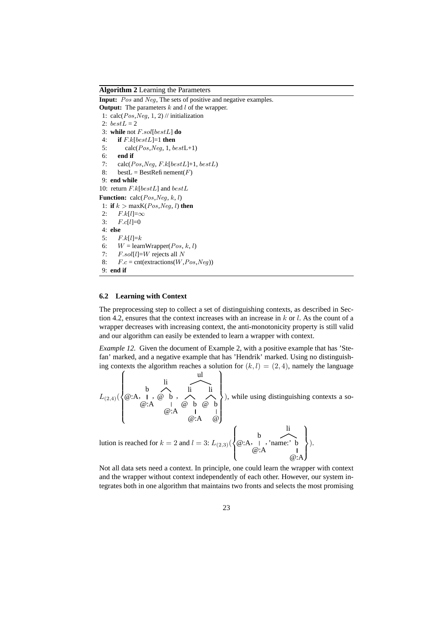**Algorithm 2** Learning the Parameters

**Input:** Pos and Neq, The sets of positive and negative examples. **Output:** The parameters  $k$  and  $l$  of the wrapper. 1: calc $(Pos, Neg, 1, 2)$  // initialization 2:  $bestL = 2$ 3: **while** not F.sol[bestL] **do** 4: **if** F.k[bestL]=1 **then** 5: calc( $Pos, Neg, 1, bestL+1$ ) 6: **end if** 7: calc( $Pos, Neg, F.k[bestL]+1, bestL$ ) 8: bestL = BestRefi nement( $F$ ) 9: **end while** 10: return  $F.k[bestL]$  and  $bestL$ **Function:** calc( $Pos, Neg, k, l$ ) 1: **if**  $k > \max K(Pos, Neg, l)$  **then** 2:  $F.k[l]=\infty$ 3:  $F.c[l]=0$ 4: **else** 5:  $F.k[l]=k$ 6:  $W = \text{learnWrapper}(Pos, k, l)$ 7:  $F. \text{sol}[l] = W$  rejects all N 8:  $F.c = \text{cnt}(\text{extractions}(W, Pos, Neg))$ 9: **end if**

#### **6.2 Learning with Context**

The preprocessing step to collect a set of distinguishing contexts, as described in Section 4.2, ensures that the context increases with an increase in  $k$  or l. As the count of a wrapper decreases with increasing context, the anti-monotonicity property is still valid and our algorithm can easily be extended to learn a wrapper with context.

*Example 12.* Given the document of Example 2, with a positive example that has 'Stefan' marked, and a negative example that has 'Hendrik' marked. Using no distinguishing contexts the algorithm reaches a solution for  $(k, l) = (2, 4)$ , namely the language

 $L_{(2,4)}($  $\sqrt{ }$  $\int$  $\overline{\mathcal{L}}$ @:A, @:A b , @:A @ b li , @:A @ b li @ @ b li ul  $\bigcap$  $\overline{\mathcal{L}}$  $\int$ ), while using distinguishing contexts a solution is reached for  $k = 2$  and  $l = 3: L_{(2,3)}($  $\sqrt{ }$  $\int_{\mathcal{A}}$  $\overline{\mathcal{L}}$ @:A, @:A b , @:A 'name:' b  $\ln$ )  $\overline{a}$  $\int$ ).

Not all data sets need a context. In principle, one could learn the wrapper with context and the wrapper without context independently of each other. However, our system integrates both in one algorithm that maintains two fronts and selects the most promising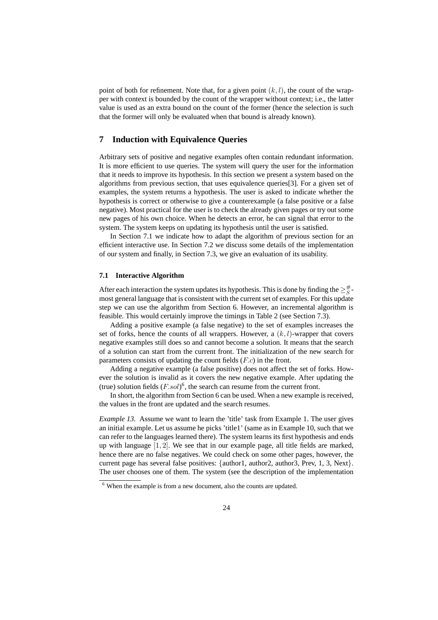point of both for refinement. Note that, for a given point  $(k, l)$ , the count of the wrapper with context is bounded by the count of the wrapper without context; i.e., the latter value is used as an extra bound on the count of the former (hence the selection is such that the former will only be evaluated when that bound is already known).

### **7 Induction with Equivalence Queries**

Arbitrary sets of positive and negative examples often contain redundant information. It is more efficient to use queries. The system will query the user for the information that it needs to improve its hypothesis. In this section we present a system based on the algorithms from previous section, that uses equivalence queries[3]. For a given set of examples, the system returns a hypothesis. The user is asked to indicate whether the hypothesis is correct or otherwise to give a counterexample (a false positive or a false negative). Most practical for the user is to check the already given pages or try out some new pages of his own choice. When he detects an error, he can signal that error to the system. The system keeps on updating its hypothesis until the user is satisfied.

In Section 7.1 we indicate how to adapt the algorithm of previous section for an efficient interactive use. In Section 7.2 we discuss some details of the implementation of our system and finally, in Section 7.3, we give an evaluation of its usability.

#### **7.1 Interactive Algorithm**

After each interaction the system updates its hypothesis. This is done by finding the  $\geq_S^{\#}$ most general language that is consistent with the current set of examples. For this update step we can use the algorithm from Section 6. However, an incremental algorithm is feasible. This would certainly improve the timings in Table 2 (see Section 7.3).

Adding a positive example (a false negative) to the set of examples increases the set of forks, hence the counts of all wrappers. However, a  $(k, l)$ -wrapper that covers negative examples still does so and cannot become a solution. It means that the search of a solution can start from the current front. The initialization of the new search for parameters consists of updating the count fields  $(F.c)$  in the front.

Adding a negative example (a false positive) does not affect the set of forks. However the solution is invalid as it covers the new negative example. After updating the (true) solution fields  $(F. sol)^6$ , the search can resume from the current front.

In short, the algorithm from Section 6 can be used. When a new example is received, the values in the front are updated and the search resumes.

*Example 13.* Assume we want to learn the 'title' task from Example 1. The user gives an initial example. Let us assume he picks 'title1' (same as in Example 10, such that we can refer to the languages learned there). The system learns its first hypothesis and ends up with language  $[1, 2]$ . We see that in our example page, all title fields are marked, hence there are no false negatives. We could check on some other pages, however, the current page has several false positives: {author1, author2, author3, Prev, 1, 3, Next}. The user chooses one of them. The system (see the description of the implementation

 $6\sigma$  When the example is from a new document, also the counts are updated.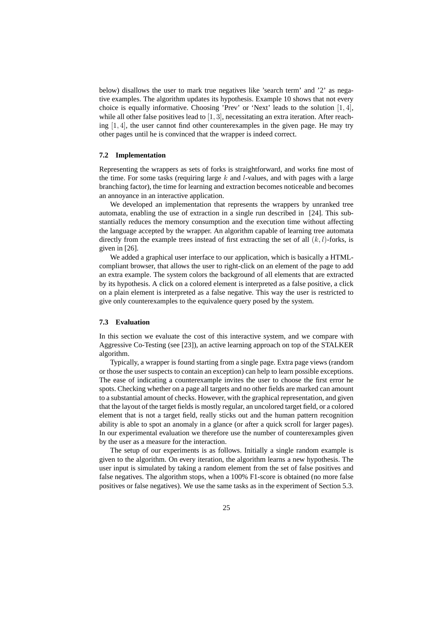below) disallows the user to mark true negatives like 'search term' and '2' as negative examples. The algorithm updates its hypothesis. Example 10 shows that not every choice is equally informative. Choosing 'Prev' or 'Next' leads to the solution [1, 4], while all other false positives lead to  $[1, 3]$ , necessitating an extra iteration. After reaching  $[1, 4]$ , the user cannot find other counterexamples in the given page. He may try other pages until he is convinced that the wrapper is indeed correct.

#### **7.2 Implementation**

Representing the wrappers as sets of forks is straightforward, and works fine most of the time. For some tasks (requiring large  $k$  and  $l$ -values, and with pages with a large branching factor), the time for learning and extraction becomes noticeable and becomes an annoyance in an interactive application.

We developed an implementation that represents the wrappers by unranked tree automata, enabling the use of extraction in a single run described in [24]. This substantially reduces the memory consumption and the execution time without affecting the language accepted by the wrapper. An algorithm capable of learning tree automata directly from the example trees instead of first extracting the set of all  $(k, l)$ -forks, is given in [26].

We added a graphical user interface to our application, which is basically a HTMLcompliant browser, that allows the user to right-click on an element of the page to add an extra example. The system colors the background of all elements that are extracted by its hypothesis. A click on a colored element is interpreted as a false positive, a click on a plain element is interpreted as a false negative. This way the user is restricted to give only counterexamples to the equivalence query posed by the system.

#### **7.3 Evaluation**

In this section we evaluate the cost of this interactive system, and we compare with Aggressive Co-Testing (see [23]), an active learning approach on top of the STALKER algorithm.

Typically, a wrapper is found starting from a single page. Extra page views (random or those the user suspects to contain an exception) can help to learn possible exceptions. The ease of indicating a counterexample invites the user to choose the first error he spots. Checking whether on a page all targets and no other fields are marked can amount to a substantial amount of checks. However, with the graphical representation, and given that the layout of the target fieldsis mostly regular, an uncolored target field, or a colored element that is not a target field, really sticks out and the human pattern recognition ability is able to spot an anomaly in a glance (or after a quick scroll for larger pages). In our experimental evaluation we therefore use the number of counterexamples given by the user as a measure for the interaction.

The setup of our experiments is as follows. Initially a single random example is given to the algorithm. On every iteration, the algorithm learns a new hypothesis. The user input is simulated by taking a random element from the set of false positives and false negatives. The algorithm stops, when a 100% F1-score is obtained (no more false positives or false negatives). We use the same tasks as in the experiment of Section 5.3.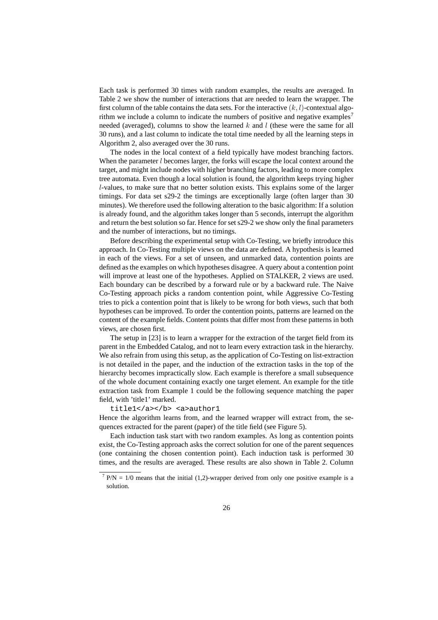Each task is performed 30 times with random examples, the results are averaged. In Table 2 we show the number of interactions that are needed to learn the wrapper. The first column of the table contains the data sets. For the interactive  $(k, l)$ -contextual algorithm we include a column to indicate the numbers of positive and negative examples<sup>7</sup> needed (averaged), columns to show the learned  $k$  and  $l$  (these were the same for all 30 runs), and a last column to indicate the total time needed by all the learning steps in Algorithm 2, also averaged over the 30 runs.

The nodes in the local context of a field typically have modest branching factors. When the parameter  $l$  becomes larger, the forks will escape the local context around the target, and might include nodes with higher branching factors, leading to more complex tree automata. Even though a local solution is found, the algorithm keeps trying higher l-values, to make sure that no better solution exists. This explains some of the larger timings. For data set s29-2 the timings are exceptionally large (often larger than 30 minutes). We therefore used the following alteration to the basic algorithm: If a solution is already found, and the algorithm takes longer than 5 seconds, interrupt the algorithm and return the best solution so far. Hence for set s29-2 we show only the final parameters and the number of interactions, but no timings.

Before describing the experimental setup with Co-Testing, we briefly introduce this approach. In Co-Testing multiple views on the data are defined. A hypothesis is learned in each of the views. For a set of unseen, and unmarked data, contention points are defined as the examples on which hypotheses disagree. A query about a contention point will improve at least one of the hypotheses. Applied on STALKER, 2 views are used. Each boundary can be described by a forward rule or by a backward rule. The Naive Co-Testing approach picks a random contention point, while Aggressive Co-Testing tries to pick a contention point that is likely to be wrong for both views, such that both hypotheses can be improved. To order the contention points, patterns are learned on the content of the example fields. Content points that differ most from these patterns in both views, are chosen first.

The setup in [23] is to learn a wrapper for the extraction of the target field from its parent in the Embedded Catalog, and not to learn every extraction task in the hierarchy. We also refrain from using this setup, as the application of Co-Testing on list-extraction is not detailed in the paper, and the induction of the extraction tasks in the top of the hierarchy becomes impractically slow. Each example is therefore a small subsequence of the whole document containing exactly one target element. An example for the title extraction task from Example 1 could be the following sequence matching the paper field, with 'title1' marked.

title1</a></b> <a>author1

Hence the algorithm learns from, and the learned wrapper will extract from, the sequences extracted for the parent (paper) of the title field (see Figure 5).

Each induction task start with two random examples. As long as contention points exist, the Co-Testing approach asks the correct solution for one of the parent sequences (one containing the chosen contention point). Each induction task is performed 30 times, and the results are averaged. These results are also shown in Table 2. Column

 $7 P/N = 1/0$  means that the initial (1,2)-wrapper derived from only one positive example is a solution.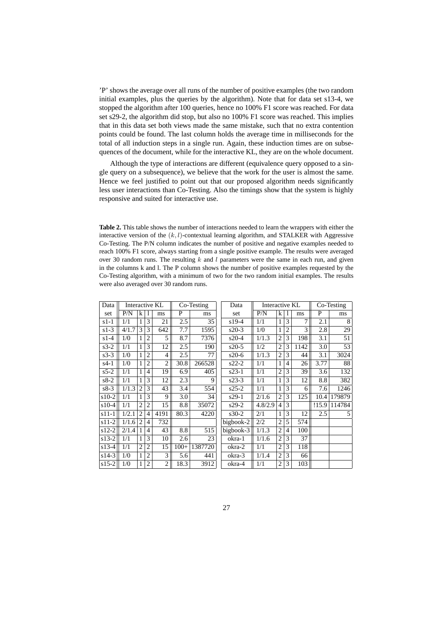'P' shows the average over all runs of the number of positive examples (the two random initial examples, plus the queries by the algorithm). Note that for data set s13-4, we stopped the algorithm after 100 queries, hence no 100% F1 score was reached. For data set s29-2, the algorithm did stop, but also no 100% F1 score was reached. This implies that in this data set both views made the same mistake, such that no extra contention points could be found. The last column holds the average time in milliseconds for the total of all induction steps in a single run. Again, these induction times are on subsequences of the document, while for the interactive KL, they are on the whole document.

Although the type of interactions are different (equivalence query opposed to a single query on a subsequence), we believe that the work for the user is almost the same. Hence we feel justified to point out that our proposed algorithm needs significantly less user interactions than Co-Testing. Also the timings show that the system is highly responsive and suited for interactive use.

**Table 2.** This table shows the number of interactions needed to learn the wrappers with either the interactive version of the  $(k, l)$ -contextual learning algorithm, and STALKER with Aggressive Co-Testing. The P/N column indicates the number of positive and negative examples needed to reach 100% F1 score, always starting from a single positive example. The results were averaged over 30 random runs. The resulting  $k$  and  $l$  parameters were the same in each run, and given in the columns k and l. The P column shows the number of positive examples requested by the Co-Testing algorithm, with a minimum of two for the two random initial examples. The results were also averaged over 30 random runs.

| Data               | <b>Interactive KL</b><br>$\overline{\text{Co-Testing}}$ |                | Data           | <b>Interactive KL</b> |                  |         | Co-Testing |         |                |                |      |       |        |
|--------------------|---------------------------------------------------------|----------------|----------------|-----------------------|------------------|---------|------------|---------|----------------|----------------|------|-------|--------|
| set                | P/N                                                     | k              | 1              | ms                    | P                | ms      | set        | P/N     | k              | 1              | ms   | P     | ms     |
| $s1-1$             | 1/1                                                     |                | 3              | 21                    | 2.5              | 35      | $s19-4$    | 1/1     |                | 3              | 7    | 2.1   | 8      |
| $s1-3$             | 4/1.7                                                   | 3              | 3              | 642                   | 7.7              | 1595    | $s20-3$    | 1/0     | 1              | $\overline{2}$ | 3    | 2.8   | 29     |
| $s1-4$             | 1/0                                                     |                | $\overline{2}$ | 5                     | 8.7              | 7376    | $s20-4$    | 1/1.3   | $\overline{c}$ | 3              | 198  | 3.1   | 51     |
| $s3-2$             | 1/1                                                     |                | 3              | 12                    | 2.5              | 190     | $s20-5$    | 1/2     | $\overline{c}$ | 3              | 1142 | 3.0   | 53     |
| $s3-3$             | 1/0                                                     | 1              | $\overline{2}$ | 4                     | 2.5              | 77      | $s20-6$    | 1/1.3   | 2              | 3              | 44   | 3.1   | 3024   |
| $s4-1$             | 1/0                                                     |                | $\overline{2}$ | $\overline{2}$        | 30.8             | 266528  | $s22-2$    | 1/1     | 1              | 4              | 26   | 3.77  | 88     |
| $s5-2$             | 1/1                                                     |                | $\overline{4}$ | 19                    | 6.9              | 405     | $s23-1$    | 1/1     | 2              | 3              | 39   | 3.6   | 132    |
| $s8-2$             | 1/1                                                     |                | 3              | 12                    | 2.3              | 9       | $s23-3$    | 1/1     |                | 3              | 12   | 8.8   | 382    |
| $s8-3$             | 1/1.3                                                   | $\mathfrak{D}$ | 3              | 43                    | $\overline{3.4}$ | 554     | $s25-2$    | 1/1     |                | 3              | 6    | 7.6   | 1246   |
| $s10-2$            | 1/1                                                     |                | 3              | 9                     | 3.0              | 34      | $s29-1$    | 2/1.6   | $\overline{2}$ | 3              | 125  | 10.4  | 179879 |
| $s10-4$            | 1/1                                                     | $\overline{c}$ | $\overline{2}$ | 15                    | 8.8              | 35072   | $s29-2$    | 4.8/2.9 | 4              | 3              |      | !15.9 | 114784 |
| $s11-1$            | 1/2.1                                                   | $\mathfrak{D}$ | $\overline{4}$ | 4191                  | 80.3             | 4220    | $s30-2$    | 2/1     |                | 3              | 12   | 2.5   | 5      |
| $s11-\overline{2}$ | 1/1.6                                                   | $\mathfrak{D}$ | $\overline{4}$ | 732                   |                  |         | bigbook-2  | 2/2     | 2              | 5              | 574  |       |        |
| $s12-2$            | 2/1.4                                                   |                | $\overline{4}$ | 43                    | 8.8              | 515     | bigbook-3  | 1/1.3   | $\overline{2}$ | 4              | 100  |       |        |
| $s13-2$            | 1/1                                                     |                | 3              | 10                    | 2.6              | 23      | okra-1     | 1/1.6   | 2              | 3              | 37   |       |        |
| $s13-4$            | 1/1                                                     | $\overline{2}$ | $\overline{2}$ | 15                    | $100+$           | 1387720 | okra-2     | 1/1     | 2              | 3              | 118  |       |        |
| $s14-3$            | 1/0                                                     | 1              | $\overline{2}$ | 3                     | 5.6              | 441     | okra-3     | 1/1.4   | $\overline{c}$ | 3              | 66   |       |        |
| $s15-2$            | 1/0                                                     |                | $\overline{2}$ | $\overline{2}$        | 18.3             | 3912    | okra-4     | 1/1     | 2              | 3              | 103  |       |        |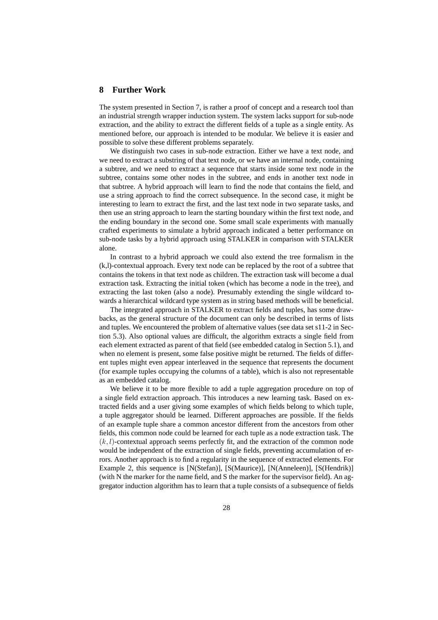# **8 Further Work**

The system presented in Section 7, is rather a proof of concept and a research tool than an industrial strength wrapper induction system. The system lacks support for sub-node extraction, and the ability to extract the different fields of a tuple as a single entity. As mentioned before, our approach is intended to be modular. We believe it is easier and possible to solve these different problems separately.

We distinguish two cases in sub-node extraction. Either we have a text node, and we need to extract a substring of that text node, or we have an internal node, containing a subtree, and we need to extract a sequence that starts inside some text node in the subtree, contains some other nodes in the subtree, and ends in another text node in that subtree. A hybrid approach will learn to find the node that contains the field, and use a string approach to find the correct subsequence. In the second case, it might be interesting to learn to extract the first, and the last text node in two separate tasks, and then use an string approach to learn the starting boundary within the first text node, and the ending boundary in the second one. Some small scale experiments with manually crafted experiments to simulate a hybrid approach indicated a better performance on sub-node tasks by a hybrid approach using STALKER in comparison with STALKER alone.

In contrast to a hybrid approach we could also extend the tree formalism in the (k,l)-contextual approach. Every text node can be replaced by the root of a subtree that contains the tokens in that text node as children. The extraction task will become a dual extraction task. Extracting the initial token (which has become a node in the tree), and extracting the last token (also a node). Presumably extending the single wildcard towards a hierarchical wildcard type system as in string based methods will be beneficial.

The integrated approach in STALKER to extract fields and tuples, has some drawbacks, as the general structure of the document can only be described in terms of lists and tuples. We encountered the problem of alternative values (see data set s11-2 in Section 5.3). Also optional values are difficult, the algorithm extracts a single field from each element extracted as parent of that field (see embedded catalog in Section 5.1), and when no element is present, some false positive might be returned. The fields of different tuples might even appear interleaved in the sequence that represents the document (for example tuples occupying the columns of a table), which is also not representable as an embedded catalog.

We believe it to be more flexible to add a tuple aggregation procedure on top of a single field extraction approach. This introduces a new learning task. Based on extracted fields and a user giving some examples of which fields belong to which tuple, a tuple aggregator should be learned. Different approaches are possible. If the fields of an example tuple share a common ancestor different from the ancestors from other fields, this common node could be learned for each tuple as a node extraction task. The  $(k, l)$ -contextual approach seems perfectly fit, and the extraction of the common node would be independent of the extraction of single fields, preventing accumulation of errors. Another approach is to find a regularity in the sequence of extracted elements. For Example 2, this sequence is [N(Stefan)], [S(Maurice)], [N(Anneleen)], [S(Hendrik)] (with N the marker for the name field, and S the marker for the supervisor field). An aggregator induction algorithm has to learn that a tuple consists of a subsequence of fields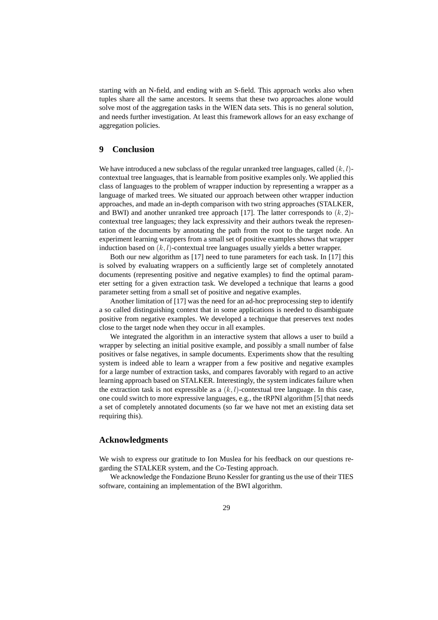starting with an N-field, and ending with an S-field. This approach works also when tuples share all the same ancestors. It seems that these two approaches alone would solve most of the aggregation tasks in the WIEN data sets. This is no general solution, and needs further investigation. At least this framework allows for an easy exchange of aggregation policies.

# **9 Conclusion**

We have introduced a new subclass of the regular unranked tree languages, called  $(k, l)$ contextual tree languages, that is learnable from positive examples only. We applied this class of languages to the problem of wrapper induction by representing a wrapper as a language of marked trees. We situated our approach between other wrapper induction approaches, and made an in-depth comparison with two string approaches (STALKER, and BWI) and another unranked tree approach [17]. The latter corresponds to  $(k, 2)$ contextual tree languages; they lack expressivity and their authors tweak the representation of the documents by annotating the path from the root to the target node. An experiment learning wrappers from a small set of positive examples shows that wrapper induction based on  $(k, l)$ -contextual tree languages usually yields a better wrapper.

Both our new algorithm as [17] need to tune parameters for each task. In [17] this is solved by evaluating wrappers on a sufficiently large set of completely annotated documents (representing positive and negative examples) to find the optimal parameter setting for a given extraction task. We developed a technique that learns a good parameter setting from a small set of positive and negative examples.

Another limitation of [17] was the need for an ad-hoc preprocessing step to identify a so called distinguishing context that in some applications is needed to disambiguate positive from negative examples. We developed a technique that preserves text nodes close to the target node when they occur in all examples.

We integrated the algorithm in an interactive system that allows a user to build a wrapper by selecting an initial positive example, and possibly a small number of false positives or false negatives, in sample documents. Experiments show that the resulting system is indeed able to learn a wrapper from a few positive and negative examples for a large number of extraction tasks, and compares favorably with regard to an active learning approach based on STALKER. Interestingly, the system indicates failure when the extraction task is not expressible as a  $(k, l)$ -contextual tree language. In this case, one could switch to more expressive languages, e.g., the tRPNI algorithm [5] that needs a set of completely annotated documents (so far we have not met an existing data set requiring this).

#### **Acknowledgments**

We wish to express our gratitude to Ion Muslea for his feedback on our questions regarding the STALKER system, and the Co-Testing approach.

We acknowledge the Fondazione Bruno Kessler for granting us the use of their TIES software, containing an implementation of the BWI algorithm.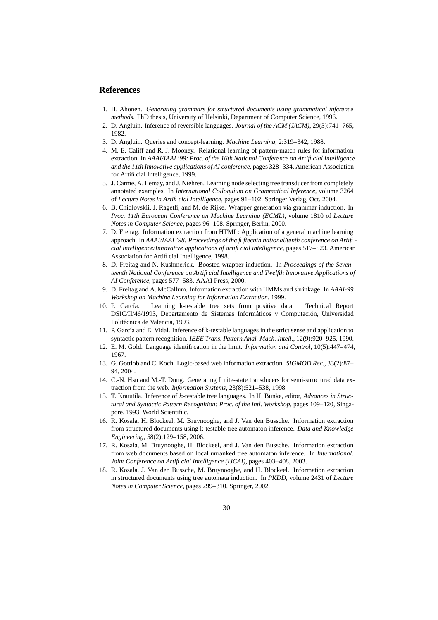# **References**

- 1. H. Ahonen. *Generating grammars for structured documents using grammatical inference methods*. PhD thesis, University of Helsinki, Department of Computer Science, 1996.
- 2. D. Angluin. Inference of reversible languages. *Journal of the ACM (JACM)*, 29(3):741–765, 1982.
- 3. D. Angluin. Queries and concept-learning. *Machine Learning*, 2:319–342, 1988.
- 4. M. E. Califf and R. J. Mooney. Relational learning of pattern-match rules for information extraction. In *AAAI/IAAI '99: Proc. of the 16th National Conference on Artificial Intelligence and the 11th Innovative applications of AI conference*, pages 328–334. American Association for Artificial Intelligence, 1999.
- 5. J. Carme, A. Lemay, and J. Niehren. Learning node selecting tree transducer from completely annotated examples. In *International Colloquium on Grammatical Inference*, volume 3264 of *Lecture Notes in Artificial Intelligence*, pages 91–102. Springer Verlag, Oct. 2004.
- 6. B. Chidlovskii, J. Ragetli, and M. de Rijke. Wrapper generation via grammar induction. In *Proc. 11th European Conference on Machine Learning (ECML)*, volume 1810 of *Lecture Notes in Computer Science*, pages 96–108. Springer, Berlin, 2000.
- 7. D. Freitag. Information extraction from HTML: Application of a general machine learning approach. In *AAAI/IAAI '98: Proceedings of the fifteenth national/tenth conference on Artificial intelligence/Innovative applications of artificial intelligence*, pages 517–523. American Association for Artificial Intelligence, 1998.
- 8. D. Freitag and N. Kushmerick. Boosted wrapper induction. In *Proceedings of the Seventeenth National Conference on Artificial Intelligence and Twelfth Innovative Applications of AI Conference*, pages 577–583. AAAI Press, 2000.
- 9. D. Freitag and A. McCallum. Information extraction with HMMs and shrinkage. In *AAAI-99 Workshop on Machine Learning for Information Extraction*, 1999.
- 10. P. García. Learning k-testable tree sets from positive data. Technical Report DSIC/II/46/1993, Departamento de Sistemas Informáticos y Computación, Universidad Politécnica de Valencia, 1993.
- 11. P. García and E. Vidal. Inference of k-testable languages in the strict sense and application to syntactic pattern recognition. *IEEE Trans. Pattern Anal. Mach. Intell.*, 12(9):920–925, 1990.
- 12. E. M. Gold. Language identification in the limit. *Information and Control*, 10(5):447–474, 1967.
- 13. G. Gottlob and C. Koch. Logic-based web information extraction. *SIGMOD Rec.*, 33(2):87– 94, 2004.
- 14. C.-N. Hsu and M.-T. Dung. Generating finite-state transducers for semi-structured data extraction from the web. *Information Systems*, 23(8):521–538, 1998.
- 15. T. Knuutila. Inference of k-testable tree languages. In H. Bunke, editor, *Advances in Structural and Syntactic Pattern Recognition: Proc. of the Intl. Workshop*, pages 109–120, Singapore, 1993. World Scientific.
- 16. R. Kosala, H. Blockeel, M. Bruynooghe, and J. Van den Bussche. Information extraction from structured documents using k-testable tree automaton inference. *Data and Knowledge Engineering*, 58(2):129–158, 2006.
- 17. R. Kosala, M. Bruynooghe, H. Blockeel, and J. Van den Bussche. Information extraction from web documents based on local unranked tree automaton inference. In *International. Joint Conference on Artificial Intelligence (IJCAI)*, pages 403–408, 2003.
- 18. R. Kosala, J. Van den Bussche, M. Bruynooghe, and H. Blockeel. Information extraction in structured documents using tree automata induction. In *PKDD*, volume 2431 of *Lecture Notes in Computer Science*, pages 299–310. Springer, 2002.